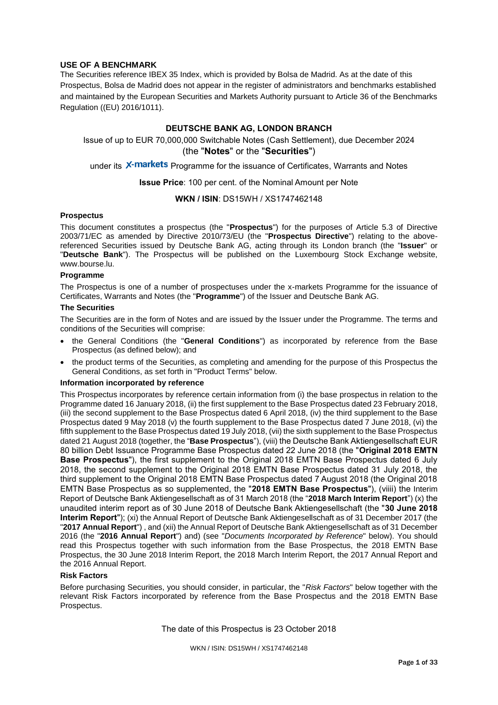## **USE OF A BENCHMARK**

The Securities reference IBEX 35 Index, which is provided by Bolsa de Madrid. As at the date of this Prospectus, Bolsa de Madrid does not appear in the register of administrators and benchmarks established and maintained by the European Securities and Markets Authority pursuant to Article 36 of the Benchmarks Regulation ((EU) 2016/1011).

## **DEUTSCHE BANK AG, LONDON BRANCH**

Issue of up to EUR 70,000,000 Switchable Notes (Cash Settlement), due December 2024 (the "**Notes**" or the "**Securities**")

under its X-markets Programme for the issuance of Certificates, Warrants and Notes

**Issue Price**: 100 per cent. of the Nominal Amount per Note

### **WKN / ISIN**: DS15WH / XS1747462148

#### **Prospectus**

This document constitutes a prospectus (the "**Prospectus**") for the purposes of Article 5.3 of Directive 2003/71/EC as amended by Directive 2010/73/EU (the "**Prospectus Directive**") relating to the abovereferenced Securities issued by Deutsche Bank AG, acting through its London branch (the "**Issuer**" or "**Deutsche Bank**"). The Prospectus will be published on the Luxembourg Stock Exchange website, www.bourse.lu.

### **Programme**

The Prospectus is one of a number of prospectuses under the x-markets Programme for the issuance of Certificates, Warrants and Notes (the "**Programme**") of the Issuer and Deutsche Bank AG.

## **The Securities**

The Securities are in the form of Notes and are issued by the Issuer under the Programme. The terms and conditions of the Securities will comprise:

- the General Conditions (the "**General Conditions**") as incorporated by reference from the Base Prospectus (as defined below); and
- the product terms of the Securities, as completing and amending for the purpose of this Prospectus the General Conditions, as set forth in "Product Terms" below.

#### **Information incorporated by reference**

This Prospectus incorporates by reference certain information from (i) the base prospectus in relation to the Programme dated 16 January 2018, (ii) the first supplement to the Base Prospectus dated 23 February 2018, (iii) the second supplement to the Base Prospectus dated 6 April 2018, (iv) the third supplement to the Base Prospectus dated 9 May 2018 (v) the fourth supplement to the Base Prospectus dated 7 June 2018, (vi) the fifth supplement to the Base Prospectus dated 19 July 2018, (vii) the sixth supplement to the Base Prospectus dated 21 August 2018 (together, the "**Base Prospectus**"), (viii) the Deutsche Bank Aktiengesellschaft EUR 80 billion Debt Issuance Programme Base Prospectus dated 22 June 2018 (the "**Original 2018 EMTN Base Prospectus**"), the first supplement to the Original 2018 EMTN Base Prospectus dated 6 July 2018, the second supplement to the Original 2018 EMTN Base Prospectus dated 31 July 2018, the third supplement to the Original 2018 EMTN Base Prospectus dated 7 August 2018 (the Original 2018 EMTN Base Prospectus as so supplemented, the "**2018 EMTN Base Prospectus**"), (viiii) the Interim Report of Deutsche Bank Aktiengesellschaft as of 31 March 2018 (the "**2018 March Interim Report**") (x) the unaudited interim report as of 30 June 2018 of Deutsche Bank Aktiengesellschaft (the "**30 June 2018 Interim Report**"); (xi) the Annual Report of Deutsche Bank Aktiengesellschaft as of 31 December 2017 (the "**2017 Annual Report**") , and (xii) the Annual Report of Deutsche Bank Aktiengesellschaft as of 31 December 2016 (the "**2016 Annual Report**") and) (see "*Documents Incorporated by Reference*" below). You should read this Prospectus together with such information from the Base Prospectus, the 2018 EMTN Base Prospectus, the 30 June 2018 Interim Report, the 2018 March Interim Report, the 2017 Annual Report and the 2016 Annual Report.

## **Risk Factors**

Before purchasing Securities, you should consider, in particular, the "*Risk Factors*" below together with the relevant Risk Factors incorporated by reference from the Base Prospectus and the 2018 EMTN Base Prospectus.

The date of this Prospectus is 23 October 2018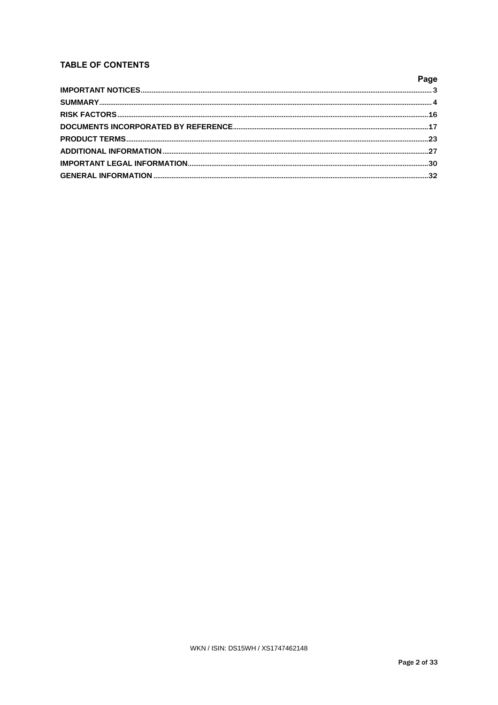# **TABLE OF CONTENTS**

| Page |
|------|
|      |
|      |
|      |
|      |
|      |
|      |
|      |
|      |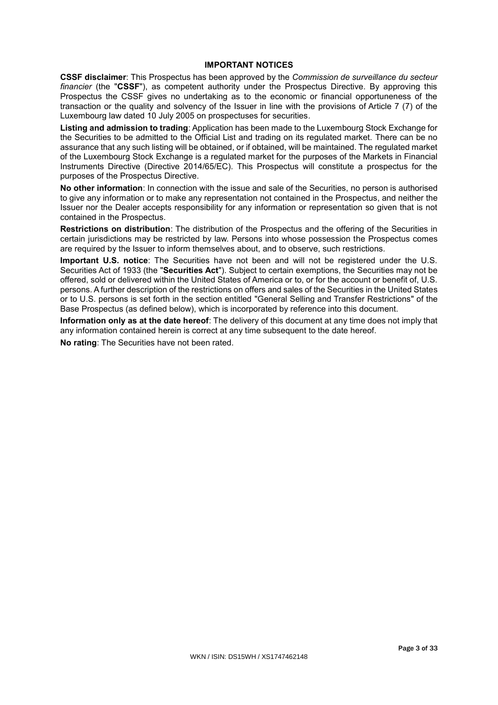## **IMPORTANT NOTICES**

**CSSF disclaimer**: This Prospectus has been approved by the *Commission de surveillance du secteur financier* (the "**CSSF**"), as competent authority under the Prospectus Directive. By approving this Prospectus the CSSF gives no undertaking as to the economic or financial opportuneness of the transaction or the quality and solvency of the Issuer in line with the provisions of Article 7 (7) of the Luxembourg law dated 10 July 2005 on prospectuses for securities.

**Listing and admission to trading**: Application has been made to the Luxembourg Stock Exchange for the Securities to be admitted to the Official List and trading on its regulated market. There can be no assurance that any such listing will be obtained, or if obtained, will be maintained. The regulated market of the Luxembourg Stock Exchange is a regulated market for the purposes of the Markets in Financial Instruments Directive (Directive 2014/65/EC). This Prospectus will constitute a prospectus for the purposes of the Prospectus Directive.

**No other information**: In connection with the issue and sale of the Securities, no person is authorised to give any information or to make any representation not contained in the Prospectus, and neither the Issuer nor the Dealer accepts responsibility for any information or representation so given that is not contained in the Prospectus.

**Restrictions on distribution**: The distribution of the Prospectus and the offering of the Securities in certain jurisdictions may be restricted by law. Persons into whose possession the Prospectus comes are required by the Issuer to inform themselves about, and to observe, such restrictions.

**Important U.S. notice**: The Securities have not been and will not be registered under the U.S. Securities Act of 1933 (the "**Securities Act**"). Subject to certain exemptions, the Securities may not be offered, sold or delivered within the United States of America or to, or for the account or benefit of, U.S. persons. A further description of the restrictions on offers and sales of the Securities in the United States or to U.S. persons is set forth in the section entitled "General Selling and Transfer Restrictions" of the Base Prospectus (as defined below), which is incorporated by reference into this document.

**Information only as at the date hereof**: The delivery of this document at any time does not imply that any information contained herein is correct at any time subsequent to the date hereof.

**No rating**: The Securities have not been rated.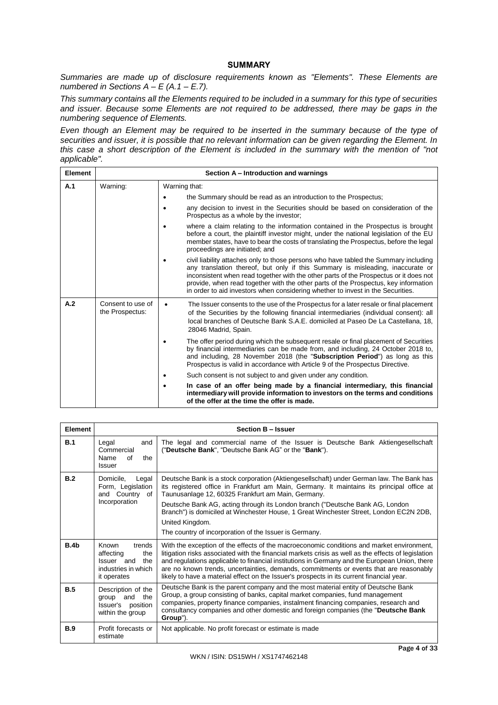## **SUMMARY**

*Summaries are made up of disclosure requirements known as "Elements". These Elements are numbered in Sections A – E (A.1 – E.7).*

*This summary contains all the Elements required to be included in a summary for this type of securities and issuer. Because some Elements are not required to be addressed, there may be gaps in the numbering sequence of Elements.* 

*Even though an Element may be required to be inserted in the summary because of the type of securities and issuer, it is possible that no relevant information can be given regarding the Element. In this case a short description of the Element is included in the summary with the mention of "not applicable".*

| <b>Element</b> | Section A – Introduction and warnings |                                                                                                                                                                                                                                                                                                                                                                                                                                           |  |
|----------------|---------------------------------------|-------------------------------------------------------------------------------------------------------------------------------------------------------------------------------------------------------------------------------------------------------------------------------------------------------------------------------------------------------------------------------------------------------------------------------------------|--|
| A.1            | Warning:                              | Warning that:                                                                                                                                                                                                                                                                                                                                                                                                                             |  |
|                |                                       | the Summary should be read as an introduction to the Prospectus;                                                                                                                                                                                                                                                                                                                                                                          |  |
|                |                                       | any decision to invest in the Securities should be based on consideration of the<br>Prospectus as a whole by the investor;                                                                                                                                                                                                                                                                                                                |  |
|                |                                       | where a claim relating to the information contained in the Prospectus is brought<br>before a court, the plaintiff investor might, under the national legislation of the EU<br>member states, have to bear the costs of translating the Prospectus, before the legal<br>proceedings are initiated; and                                                                                                                                     |  |
|                |                                       | civil liability attaches only to those persons who have tabled the Summary including<br>any translation thereof, but only if this Summary is misleading, inaccurate or<br>inconsistent when read together with the other parts of the Prospectus or it does not<br>provide, when read together with the other parts of the Prospectus, key information<br>in order to aid investors when considering whether to invest in the Securities. |  |
| A.2            | Consent to use of<br>the Prospectus:  | The Issuer consents to the use of the Prospectus for a later resale or final placement<br>$\bullet$<br>of the Securities by the following financial intermediaries (individual consent): all<br>local branches of Deutsche Bank S.A.E. domiciled at Paseo De La Castellana, 18,<br>28046 Madrid, Spain.                                                                                                                                   |  |
|                |                                       | The offer period during which the subsequent resale or final placement of Securities<br>by financial intermediaries can be made from, and including, 24 October 2018 to,<br>and including, 28 November 2018 (the "Subscription Period") as long as this<br>Prospectus is valid in accordance with Article 9 of the Prospectus Directive.                                                                                                  |  |
|                |                                       | Such consent is not subject to and given under any condition.                                                                                                                                                                                                                                                                                                                                                                             |  |
|                |                                       | In case of an offer being made by a financial intermediary, this financial<br>intermediary will provide information to investors on the terms and conditions<br>of the offer at the time the offer is made.                                                                                                                                                                                                                               |  |

| Element    |                                                                                                | <b>Section B - Issuer</b>                                                                                                                                                                                                                                                                                                                                                                                                                                                                           |
|------------|------------------------------------------------------------------------------------------------|-----------------------------------------------------------------------------------------------------------------------------------------------------------------------------------------------------------------------------------------------------------------------------------------------------------------------------------------------------------------------------------------------------------------------------------------------------------------------------------------------------|
| B.1        | Legal<br>and<br>Commercial<br>Name<br>of<br>the<br>Issuer                                      | The legal and commercial name of the Issuer is Deutsche Bank Aktiengesellschaft<br>("Deutsche Bank", "Deutsche Bank AG" or the "Bank").                                                                                                                                                                                                                                                                                                                                                             |
| B.2        | Domicile,<br>Legal<br>Form, Legislation<br>and Country of<br>Incorporation                     | Deutsche Bank is a stock corporation (Aktiengesellschaft) under German law. The Bank has<br>its registered office in Frankfurt am Main, Germany. It maintains its principal office at<br>Taunusanlage 12, 60325 Frankfurt am Main, Germany.<br>Deutsche Bank AG, acting through its London branch ("Deutsche Bank AG, London<br>Branch") is domiciled at Winchester House, 1 Great Winchester Street, London EC2N 2DB,<br>United Kingdom.<br>The country of incorporation of the Issuer is Germany. |
| B.4b       | Known<br>trends<br>affecting<br>the<br>Issuer and<br>the<br>industries in which<br>it operates | With the exception of the effects of the macroeconomic conditions and market environment,<br>litigation risks associated with the financial markets crisis as well as the effects of legislation<br>and regulations applicable to financial institutions in Germany and the European Union, there<br>are no known trends, uncertainties, demands, commitments or events that are reasonably<br>likely to have a material effect on the Issuer's prospects in its current financial year.            |
| B.5        | Description of the<br>and<br>group<br>the<br>Issuer's<br>position<br>within the group          | Deutsche Bank is the parent company and the most material entity of Deutsche Bank<br>Group, a group consisting of banks, capital market companies, fund management<br>companies, property finance companies, instalment financing companies, research and<br>consultancy companies and other domestic and foreign companies (the "Deutsche Bank"<br>Group").                                                                                                                                        |
| <b>B.9</b> | Profit forecasts or<br>estimate                                                                | Not applicable. No profit forecast or estimate is made                                                                                                                                                                                                                                                                                                                                                                                                                                              |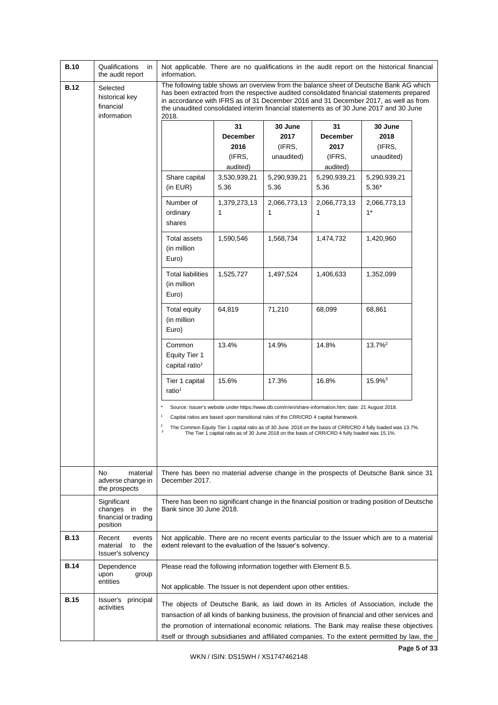| <b>B.10</b> | Qualifications<br>in<br>the audit report                                                                                                                                                                                                                                                                                                                                                                                                 | information.                                                                                                                                                                                                                                                                                                                                                                          |                                                                                                                                                                                                                                                                                               |                                         | Not applicable. There are no qualifications in the audit report on the historical financial |                                                                                                             |  |
|-------------|------------------------------------------------------------------------------------------------------------------------------------------------------------------------------------------------------------------------------------------------------------------------------------------------------------------------------------------------------------------------------------------------------------------------------------------|---------------------------------------------------------------------------------------------------------------------------------------------------------------------------------------------------------------------------------------------------------------------------------------------------------------------------------------------------------------------------------------|-----------------------------------------------------------------------------------------------------------------------------------------------------------------------------------------------------------------------------------------------------------------------------------------------|-----------------------------------------|---------------------------------------------------------------------------------------------|-------------------------------------------------------------------------------------------------------------|--|
| <b>B.12</b> | The following table shows an overview from the balance sheet of Deutsche Bank AG which<br>Selected<br>has been extracted from the respective audited consolidated financial statements prepared<br>historical key<br>in accordance with IFRS as of 31 December 2016 and 31 December 2017, as well as from<br>financial<br>the unaudited consolidated interim financial statements as of 30 June 2017 and 30 June<br>information<br>2018. |                                                                                                                                                                                                                                                                                                                                                                                       |                                                                                                                                                                                                                                                                                               |                                         |                                                                                             |                                                                                                             |  |
|             |                                                                                                                                                                                                                                                                                                                                                                                                                                          |                                                                                                                                                                                                                                                                                                                                                                                       | 31<br><b>December</b><br>2016<br>(IFRS,<br>audited)                                                                                                                                                                                                                                           | 30 June<br>2017<br>(IFRS,<br>unaudited) | 31<br><b>December</b><br>2017<br>(IFRS,<br>audited)                                         | 30 June<br>2018<br>(IFRS,<br>unaudited)                                                                     |  |
|             |                                                                                                                                                                                                                                                                                                                                                                                                                                          | Share capital<br>(in EUR)                                                                                                                                                                                                                                                                                                                                                             | 3,530,939,21<br>5.36                                                                                                                                                                                                                                                                          | 5,290,939,21<br>5.36                    | 5,290,939,21<br>5.36                                                                        | 5,290,939,21<br>5.36*                                                                                       |  |
|             |                                                                                                                                                                                                                                                                                                                                                                                                                                          | Number of<br>ordinary<br>shares                                                                                                                                                                                                                                                                                                                                                       | 1,379,273,13<br>1                                                                                                                                                                                                                                                                             | 2,066,773,13<br>1                       | 2,066,773,13<br>1                                                                           | 2,066,773,13<br>$1*$                                                                                        |  |
|             |                                                                                                                                                                                                                                                                                                                                                                                                                                          | <b>Total assets</b><br>(in million<br>Euro)                                                                                                                                                                                                                                                                                                                                           | 1,590,546                                                                                                                                                                                                                                                                                     | 1,568,734                               | 1,474,732                                                                                   | 1,420,960                                                                                                   |  |
|             |                                                                                                                                                                                                                                                                                                                                                                                                                                          | <b>Total liabilities</b><br>(in million<br>Euro)                                                                                                                                                                                                                                                                                                                                      | 1,525,727                                                                                                                                                                                                                                                                                     | 1,497,524                               | 1,406,633                                                                                   | 1,352,099                                                                                                   |  |
|             |                                                                                                                                                                                                                                                                                                                                                                                                                                          | Total equity<br>(in million<br>Euro)                                                                                                                                                                                                                                                                                                                                                  | 64,819                                                                                                                                                                                                                                                                                        | 71,210                                  | 68,099                                                                                      | 68,861                                                                                                      |  |
|             |                                                                                                                                                                                                                                                                                                                                                                                                                                          | Common<br><b>Equity Tier 1</b><br>capital ratio <sup>1</sup>                                                                                                                                                                                                                                                                                                                          | 13.4%                                                                                                                                                                                                                                                                                         | 14.9%                                   | 14.8%                                                                                       | $13.7\%$ <sup>2</sup>                                                                                       |  |
|             |                                                                                                                                                                                                                                                                                                                                                                                                                                          | Tier 1 capital<br>ratio <sup>1</sup>                                                                                                                                                                                                                                                                                                                                                  | 15.6%                                                                                                                                                                                                                                                                                         | 17.3%                                   | 16.8%                                                                                       | 15.9% <sup>3</sup>                                                                                          |  |
|             |                                                                                                                                                                                                                                                                                                                                                                                                                                          | $\boldsymbol{2}$<br>$\mathsf 3$                                                                                                                                                                                                                                                                                                                                                       | Source: Issuer's website under https://www.db.com/ir/en/share-information.htm; date: 21 August 2018.<br>Capital ratios are based upon transitional rules of the CRR/CRD 4 capital framework.<br>The Tier 1 capital ratio as of 30 June 2018 on the basis of CRR/CRD 4 fully loaded was 15.1%. |                                         |                                                                                             | The Common Equity Tier 1 capital ratio as of 30 June 2018 on the basis of CRR/CRD 4 fully loaded was 13.7%. |  |
|             | No<br>material<br>adverse change in<br>the prospects                                                                                                                                                                                                                                                                                                                                                                                     | There has been no material adverse change in the prospects of Deutsche Bank since 31<br>December 2017.                                                                                                                                                                                                                                                                                |                                                                                                                                                                                                                                                                                               |                                         |                                                                                             |                                                                                                             |  |
|             | Significant<br>changes in the<br>financial or trading<br>position                                                                                                                                                                                                                                                                                                                                                                        | There has been no significant change in the financial position or trading position of Deutsche<br>Bank since 30 June 2018.                                                                                                                                                                                                                                                            |                                                                                                                                                                                                                                                                                               |                                         |                                                                                             |                                                                                                             |  |
| <b>B.13</b> | Recent<br>events<br>material<br>to the<br>Issuer's solvency                                                                                                                                                                                                                                                                                                                                                                              | Not applicable. There are no recent events particular to the Issuer which are to a material<br>extent relevant to the evaluation of the Issuer's solvency.                                                                                                                                                                                                                            |                                                                                                                                                                                                                                                                                               |                                         |                                                                                             |                                                                                                             |  |
| <b>B.14</b> | Dependence<br>upon<br>group<br>entities                                                                                                                                                                                                                                                                                                                                                                                                  | Please read the following information together with Element B.5.<br>Not applicable. The Issuer is not dependent upon other entities.                                                                                                                                                                                                                                                  |                                                                                                                                                                                                                                                                                               |                                         |                                                                                             |                                                                                                             |  |
| <b>B.15</b> | Issuer's principal<br>activities                                                                                                                                                                                                                                                                                                                                                                                                         | The objects of Deutsche Bank, as laid down in its Articles of Association, include the<br>transaction of all kinds of banking business, the provision of financial and other services and<br>the promotion of international economic relations. The Bank may realise these objectives<br>itself or through subsidiaries and affiliated companies. To the extent permitted by law, the |                                                                                                                                                                                                                                                                                               |                                         |                                                                                             |                                                                                                             |  |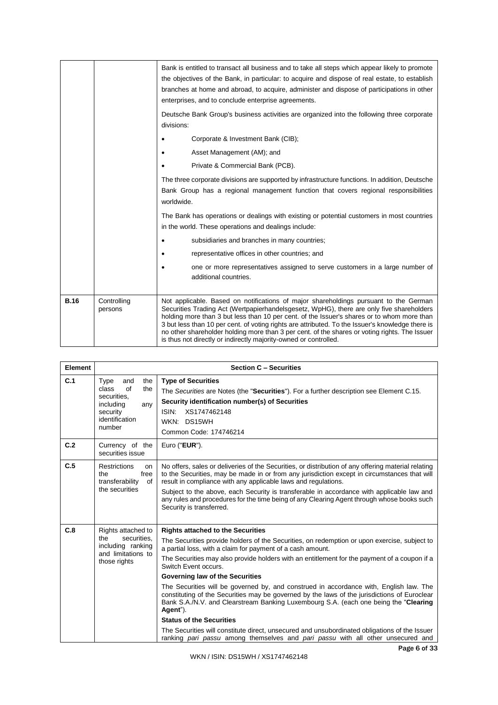|             |                        | Bank is entitled to transact all business and to take all steps which appear likely to promote<br>the objectives of the Bank, in particular: to acquire and dispose of real estate, to establish<br>branches at home and abroad, to acquire, administer and dispose of participations in other<br>enterprises, and to conclude enterprise agreements.                                                                                                                                                                                                   |
|-------------|------------------------|---------------------------------------------------------------------------------------------------------------------------------------------------------------------------------------------------------------------------------------------------------------------------------------------------------------------------------------------------------------------------------------------------------------------------------------------------------------------------------------------------------------------------------------------------------|
|             |                        | Deutsche Bank Group's business activities are organized into the following three corporate<br>divisions:                                                                                                                                                                                                                                                                                                                                                                                                                                                |
|             |                        | Corporate & Investment Bank (CIB);                                                                                                                                                                                                                                                                                                                                                                                                                                                                                                                      |
|             |                        | Asset Management (AM); and                                                                                                                                                                                                                                                                                                                                                                                                                                                                                                                              |
|             |                        | Private & Commercial Bank (PCB).                                                                                                                                                                                                                                                                                                                                                                                                                                                                                                                        |
|             |                        | The three corporate divisions are supported by infrastructure functions. In addition, Deutsche<br>Bank Group has a regional management function that covers regional responsibilities<br>worldwide.                                                                                                                                                                                                                                                                                                                                                     |
|             |                        | The Bank has operations or dealings with existing or potential customers in most countries<br>in the world. These operations and dealings include:                                                                                                                                                                                                                                                                                                                                                                                                      |
|             |                        | subsidiaries and branches in many countries;                                                                                                                                                                                                                                                                                                                                                                                                                                                                                                            |
|             |                        | representative offices in other countries; and                                                                                                                                                                                                                                                                                                                                                                                                                                                                                                          |
|             |                        | one or more representatives assigned to serve customers in a large number of<br>additional countries.                                                                                                                                                                                                                                                                                                                                                                                                                                                   |
| <b>B.16</b> | Controlling<br>persons | Not applicable. Based on notifications of major shareholdings pursuant to the German<br>Securities Trading Act (Wertpapierhandelsgesetz, WpHG), there are only five shareholders<br>holding more than 3 but less than 10 per cent. of the Issuer's shares or to whom more than<br>3 but less than 10 per cent. of voting rights are attributed. To the Issuer's knowledge there is<br>no other shareholder holding more than 3 per cent. of the shares or voting rights. The Issuer<br>is thus not directly or indirectly majority-owned or controlled. |

| Element |                                                                                                                     | <b>Section C - Securities</b>                                                                                                                                                                                                                                                                                                                                                                                                                                                                                                                                                                                                                                                                                                                                                                                                                                                          |
|---------|---------------------------------------------------------------------------------------------------------------------|----------------------------------------------------------------------------------------------------------------------------------------------------------------------------------------------------------------------------------------------------------------------------------------------------------------------------------------------------------------------------------------------------------------------------------------------------------------------------------------------------------------------------------------------------------------------------------------------------------------------------------------------------------------------------------------------------------------------------------------------------------------------------------------------------------------------------------------------------------------------------------------|
| C.1     | the<br>Type<br>and<br>of<br>class<br>the<br>securities.<br>including<br>any<br>security<br>identification<br>number | <b>Type of Securities</b><br>The Securities are Notes (the "Securities"). For a further description see Element C.15.<br>Security identification number(s) of Securities<br>ISIN:<br>XS1747462148<br>WKN: DS15WH<br>Common Code: 174746214                                                                                                                                                                                                                                                                                                                                                                                                                                                                                                                                                                                                                                             |
| C.2     | Currency of the<br>securities issue                                                                                 | Euro ("EUR").                                                                                                                                                                                                                                                                                                                                                                                                                                                                                                                                                                                                                                                                                                                                                                                                                                                                          |
| C.5     | <b>Restrictions</b><br>on<br>free<br>the<br>transferability<br>of<br>the securities                                 | No offers, sales or deliveries of the Securities, or distribution of any offering material relating<br>to the Securities, may be made in or from any jurisdiction except in circumstances that will<br>result in compliance with any applicable laws and regulations.<br>Subject to the above, each Security is transferable in accordance with applicable law and<br>any rules and procedures for the time being of any Clearing Agent through whose books such<br>Security is transferred.                                                                                                                                                                                                                                                                                                                                                                                           |
| C.8     | Rights attached to<br>securities.<br>the<br>including ranking<br>and limitations to<br>those rights                 | <b>Rights attached to the Securities</b><br>The Securities provide holders of the Securities, on redemption or upon exercise, subject to<br>a partial loss, with a claim for payment of a cash amount.<br>The Securities may also provide holders with an entitlement for the payment of a coupon if a<br>Switch Event occurs.<br>Governing law of the Securities<br>The Securities will be governed by, and construed in accordance with, English law. The<br>constituting of the Securities may be governed by the laws of the jurisdictions of Euroclear<br>Bank S.A./N.V. and Clearstream Banking Luxembourg S.A. (each one being the "Clearing<br>Agent").<br><b>Status of the Securities</b><br>The Securities will constitute direct, unsecured and unsubordinated obligations of the Issuer<br>ranking pari passu among themselves and pari passu with all other unsecured and |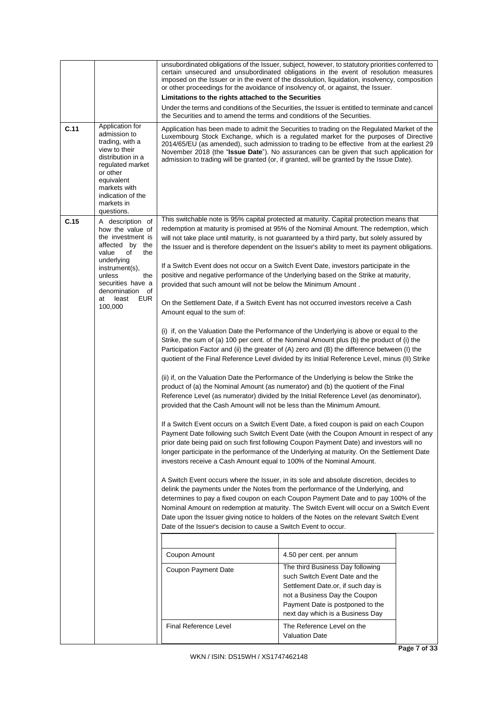|      |                                                                                                                                                                                                                                           | or other proceedings for the avoidance of insolvency of, or against, the Issuer.<br>Limitations to the rights attached to the Securities<br>the Securities and to amend the terms and conditions of the Securities.                                                                                                                                          | unsubordinated obligations of the Issuer, subject, however, to statutory priorities conferred to<br>certain unsecured and unsubordinated obligations in the event of resolution measures<br>imposed on the Issuer or in the event of the dissolution, liquidation, insolvency, composition<br>Under the terms and conditions of the Securities, the Issuer is entitled to terminate and cancel                                                                                                                                                                                                                                                                                                                                                                                                                                                                                                                                                                                                                                                                                                                                                                                                                                                                                                                                                                                                                                                                                                                                                                                                                                                                                                                                                                                                                                                                                                                                                                                                                                                                                                                                                                                                                                                                                                                             |  |
|------|-------------------------------------------------------------------------------------------------------------------------------------------------------------------------------------------------------------------------------------------|--------------------------------------------------------------------------------------------------------------------------------------------------------------------------------------------------------------------------------------------------------------------------------------------------------------------------------------------------------------|----------------------------------------------------------------------------------------------------------------------------------------------------------------------------------------------------------------------------------------------------------------------------------------------------------------------------------------------------------------------------------------------------------------------------------------------------------------------------------------------------------------------------------------------------------------------------------------------------------------------------------------------------------------------------------------------------------------------------------------------------------------------------------------------------------------------------------------------------------------------------------------------------------------------------------------------------------------------------------------------------------------------------------------------------------------------------------------------------------------------------------------------------------------------------------------------------------------------------------------------------------------------------------------------------------------------------------------------------------------------------------------------------------------------------------------------------------------------------------------------------------------------------------------------------------------------------------------------------------------------------------------------------------------------------------------------------------------------------------------------------------------------------------------------------------------------------------------------------------------------------------------------------------------------------------------------------------------------------------------------------------------------------------------------------------------------------------------------------------------------------------------------------------------------------------------------------------------------------------------------------------------------------------------------------------------------------|--|
| C.11 | Application for<br>admission to<br>trading, with a<br>view to their<br>distribution in a<br>regulated market<br>or other<br>equivalent<br>markets with<br>indication of the<br>markets in<br>questions.                                   |                                                                                                                                                                                                                                                                                                                                                              | Application has been made to admit the Securities to trading on the Regulated Market of the<br>Luxembourg Stock Exchange, which is a regulated market for the purposes of Directive<br>2014/65/EU (as amended), such admission to trading to be effective from at the earliest 29<br>November 2018 (the "Issue Date"). No assurances can be given that such application for<br>admission to trading will be granted (or, if granted, will be granted by the Issue Date).                                                                                                                                                                                                                                                                                                                                                                                                                                                                                                                                                                                                                                                                                                                                                                                                                                                                                                                                                                                                                                                                                                                                                                                                                                                                                                                                                                                                                                                                                                                                                                                                                                                                                                                                                                                                                                                   |  |
| C.15 | A description of<br>how the value of<br>the investment is<br>affected by<br>the<br>value<br>of<br>the<br>underlying<br>instrument(s),<br>unless<br>the<br>securities have a<br>denomination<br>οf<br>least<br><b>EUR</b><br>at<br>100,000 | provided that such amount will not be below the Minimum Amount.<br>Amount equal to the sum of:<br>provided that the Cash Amount will not be less than the Minimum Amount.<br>investors receive a Cash Amount equal to 100% of the Nominal Amount.<br>Date of the Issuer's decision to cause a Switch Event to occur.<br>Coupon Amount<br>Coupon Payment Date | This switchable note is 95% capital protected at maturity. Capital protection means that<br>redemption at maturity is promised at 95% of the Nominal Amount. The redemption, which<br>will not take place until maturity, is not guaranteed by a third party, but solely assured by<br>the Issuer and is therefore dependent on the Issuer's ability to meet its payment obligations.<br>If a Switch Event does not occur on a Switch Event Date, investors participate in the<br>positive and negative performance of the Underlying based on the Strike at maturity,<br>On the Settlement Date, if a Switch Event has not occurred investors receive a Cash<br>(i) if, on the Valuation Date the Performance of the Underlying is above or equal to the<br>Strike, the sum of (a) 100 per cent. of the Nominal Amount plus (b) the product of (i) the<br>Participation Factor and (ii) the greater of (A) zero and (B) the difference between (I) the<br>quotient of the Final Reference Level divided by its Initial Reference Level, minus (II) Strike<br>(ii) if, on the Valuation Date the Performance of the Underlying is below the Strike the<br>product of (a) the Nominal Amount (as numerator) and (b) the quotient of the Final<br>Reference Level (as numerator) divided by the Initial Reference Level (as denominator),<br>If a Switch Event occurs on a Switch Event Date, a fixed coupon is paid on each Coupon<br>Payment Date following such Switch Event Date (with the Coupon Amount in respect of any<br>prior date being paid on such first following Coupon Payment Date) and investors will no<br>longer participate in the performance of the Underlying at maturity. On the Settlement Date<br>A Switch Event occurs where the Issuer, in its sole and absolute discretion, decides to<br>delink the payments under the Notes from the performance of the Underlying, and<br>determines to pay a fixed coupon on each Coupon Payment Date and to pay 100% of the<br>Nominal Amount on redemption at maturity. The Switch Event will occur on a Switch Event<br>Date upon the Issuer giving notice to holders of the Notes on the relevant Switch Event<br>4.50 per cent. per annum<br>The third Business Day following<br>such Switch Event Date and the<br>Settlement Date.or, if such day is |  |
|      |                                                                                                                                                                                                                                           | <b>Final Reference Level</b>                                                                                                                                                                                                                                                                                                                                 | not a Business Day the Coupon<br>Payment Date is postponed to the<br>next day which is a Business Day<br>The Reference Level on the<br><b>Valuation Date</b>                                                                                                                                                                                                                                                                                                                                                                                                                                                                                                                                                                                                                                                                                                                                                                                                                                                                                                                                                                                                                                                                                                                                                                                                                                                                                                                                                                                                                                                                                                                                                                                                                                                                                                                                                                                                                                                                                                                                                                                                                                                                                                                                                               |  |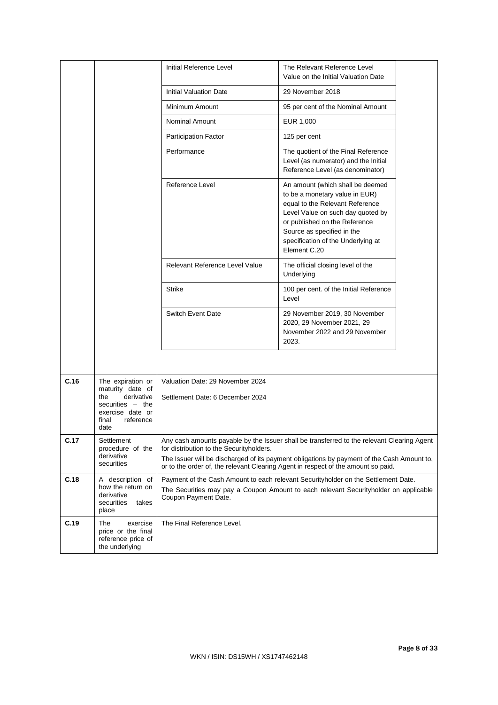|      |                                                                                                                                  | Initial Reference Level                                              | The Relevant Reference Level<br>Value on the Initial Valuation Date                                                                                                                                                                                                           |
|------|----------------------------------------------------------------------------------------------------------------------------------|----------------------------------------------------------------------|-------------------------------------------------------------------------------------------------------------------------------------------------------------------------------------------------------------------------------------------------------------------------------|
|      |                                                                                                                                  | <b>Initial Valuation Date</b>                                        | 29 November 2018                                                                                                                                                                                                                                                              |
|      |                                                                                                                                  | Minimum Amount                                                       | 95 per cent of the Nominal Amount                                                                                                                                                                                                                                             |
|      |                                                                                                                                  | <b>Nominal Amount</b>                                                | EUR 1,000                                                                                                                                                                                                                                                                     |
|      |                                                                                                                                  | <b>Participation Factor</b>                                          | 125 per cent                                                                                                                                                                                                                                                                  |
|      |                                                                                                                                  | Performance                                                          | The quotient of the Final Reference<br>Level (as numerator) and the Initial<br>Reference Level (as denominator)                                                                                                                                                               |
|      |                                                                                                                                  | Reference Level                                                      | An amount (which shall be deemed<br>to be a monetary value in EUR)<br>equal to the Relevant Reference<br>Level Value on such day quoted by<br>or published on the Reference<br>Source as specified in the<br>specification of the Underlying at<br>Element C.20               |
|      |                                                                                                                                  | Relevant Reference Level Value                                       | The official closing level of the<br>Underlying                                                                                                                                                                                                                               |
|      |                                                                                                                                  | Strike                                                               | 100 per cent. of the Initial Reference<br>Level                                                                                                                                                                                                                               |
|      |                                                                                                                                  | <b>Switch Event Date</b>                                             | 29 November 2019, 30 November<br>2020, 29 November 2021, 29<br>November 2022 and 29 November<br>2023.                                                                                                                                                                         |
|      |                                                                                                                                  |                                                                      |                                                                                                                                                                                                                                                                               |
| C.16 | The expiration or<br>maturity date of<br>derivative<br>the<br>securities - the<br>exercise date or<br>final<br>reference<br>date | Valuation Date: 29 November 2024<br>Settlement Date: 6 December 2024 |                                                                                                                                                                                                                                                                               |
| C.17 | Settlement<br>procedure of the<br>derivative<br>securities                                                                       | for distribution to the Securityholders.                             | Any cash amounts payable by the Issuer shall be transferred to the relevant Clearing Agent<br>The Issuer will be discharged of its payment obligations by payment of the Cash Amount to,<br>or to the order of, the relevant Clearing Agent in respect of the amount so paid. |
| C.18 | A description of<br>how the return on<br>derivative<br>securities<br>takes<br>place                                              | Coupon Payment Date.                                                 | Payment of the Cash Amount to each relevant Securityholder on the Settlement Date.<br>The Securities may pay a Coupon Amount to each relevant Securityholder on applicable                                                                                                    |
| C.19 | The<br>exercise<br>price or the final<br>reference price of<br>the underlying                                                    | The Final Reference Level.                                           |                                                                                                                                                                                                                                                                               |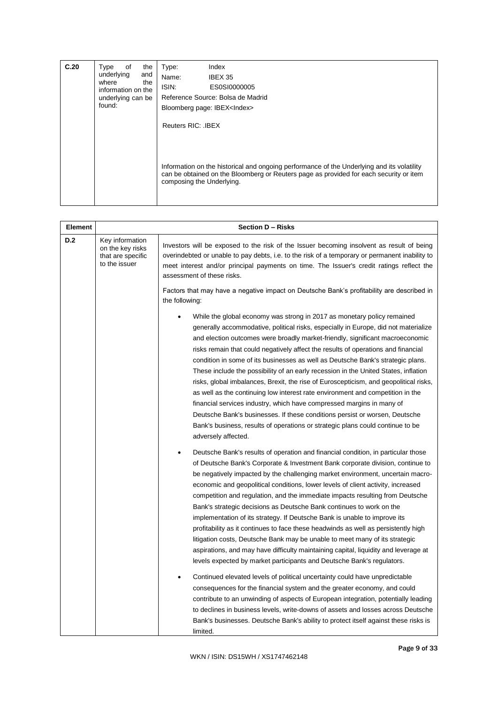| C.20 | the<br>Type<br>of<br>underlying<br>and<br>where<br>the<br>information on the<br>underlying can be<br>found: | Index<br>Type:<br>Name:<br>IBEX 35<br>ISIN:<br>ES0SI0000005<br>Reference Source: Bolsa de Madrid<br>Bloomberg page: IBEX <index><br/>Reuters RIC: . IBEX</index>                                                  |
|------|-------------------------------------------------------------------------------------------------------------|-------------------------------------------------------------------------------------------------------------------------------------------------------------------------------------------------------------------|
|      |                                                                                                             | Information on the historical and ongoing performance of the Underlying and its volatility<br>can be obtained on the Bloomberg or Reuters page as provided for each security or item<br>composing the Underlying. |

| Element |                                                                           | Section D - Risks                                                                                                                                                                                                                                                                                                                                                                                                                                                                                                                                                                                                                                                                                                                                                                                                                                                                                                                                                                                                                                                                                                                                                                                                                                                                                                                                             |  |  |
|---------|---------------------------------------------------------------------------|---------------------------------------------------------------------------------------------------------------------------------------------------------------------------------------------------------------------------------------------------------------------------------------------------------------------------------------------------------------------------------------------------------------------------------------------------------------------------------------------------------------------------------------------------------------------------------------------------------------------------------------------------------------------------------------------------------------------------------------------------------------------------------------------------------------------------------------------------------------------------------------------------------------------------------------------------------------------------------------------------------------------------------------------------------------------------------------------------------------------------------------------------------------------------------------------------------------------------------------------------------------------------------------------------------------------------------------------------------------|--|--|
| D.2     | Key information<br>on the key risks<br>that are specific<br>to the issuer | Investors will be exposed to the risk of the Issuer becoming insolvent as result of being<br>overindebted or unable to pay debts, i.e. to the risk of a temporary or permanent inability to<br>meet interest and/or principal payments on time. The Issuer's credit ratings reflect the<br>assessment of these risks.<br>Factors that may have a negative impact on Deutsche Bank's profitability are described in                                                                                                                                                                                                                                                                                                                                                                                                                                                                                                                                                                                                                                                                                                                                                                                                                                                                                                                                            |  |  |
|         |                                                                           | the following:                                                                                                                                                                                                                                                                                                                                                                                                                                                                                                                                                                                                                                                                                                                                                                                                                                                                                                                                                                                                                                                                                                                                                                                                                                                                                                                                                |  |  |
|         |                                                                           | While the global economy was strong in 2017 as monetary policy remained<br>generally accommodative, political risks, especially in Europe, did not materialize<br>and election outcomes were broadly market-friendly, significant macroeconomic<br>risks remain that could negatively affect the results of operations and financial<br>condition in some of its businesses as well as Deutsche Bank's strategic plans.<br>These include the possibility of an early recession in the United States, inflation<br>risks, global imbalances, Brexit, the rise of Euroscepticism, and geopolitical risks,<br>as well as the continuing low interest rate environment and competition in the<br>financial services industry, which have compressed margins in many of<br>Deutsche Bank's businesses. If these conditions persist or worsen, Deutsche<br>Bank's business, results of operations or strategic plans could continue to be<br>adversely affected.                                                                                                                                                                                                                                                                                                                                                                                                    |  |  |
|         |                                                                           | Deutsche Bank's results of operation and financial condition, in particular those<br>of Deutsche Bank's Corporate & Investment Bank corporate division, continue to<br>be negatively impacted by the challenging market environment, uncertain macro-<br>economic and geopolitical conditions, lower levels of client activity, increased<br>competition and regulation, and the immediate impacts resulting from Deutsche<br>Bank's strategic decisions as Deutsche Bank continues to work on the<br>implementation of its strategy. If Deutsche Bank is unable to improve its<br>profitability as it continues to face these headwinds as well as persistently high<br>litigation costs, Deutsche Bank may be unable to meet many of its strategic<br>aspirations, and may have difficulty maintaining capital, liquidity and leverage at<br>levels expected by market participants and Deutsche Bank's regulators.<br>Continued elevated levels of political uncertainty could have unpredictable<br>consequences for the financial system and the greater economy, and could<br>contribute to an unwinding of aspects of European integration, potentially leading<br>to declines in business levels, write-downs of assets and losses across Deutsche<br>Bank's businesses. Deutsche Bank's ability to protect itself against these risks is<br>limited. |  |  |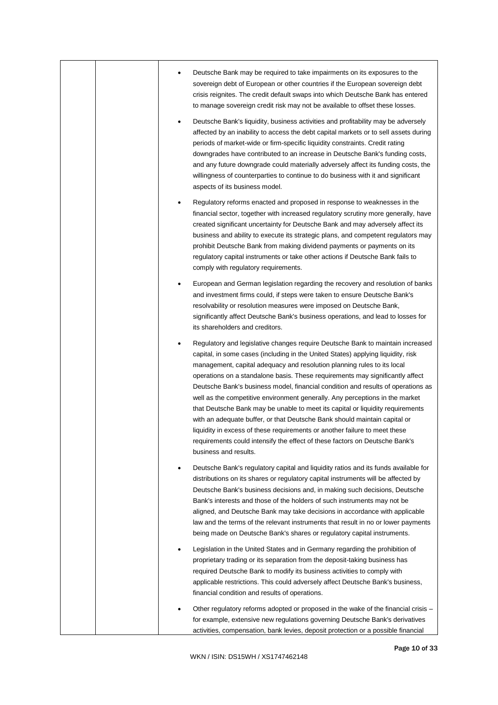|  | Deutsche Bank may be required to take impairments on its exposures to the<br>sovereign debt of European or other countries if the European sovereign debt<br>crisis reignites. The credit default swaps into which Deutsche Bank has entered<br>to manage sovereign credit risk may not be available to offset these losses.                                                                                                                                                                                                                                                                                                                                                                                                                                                                                                                            |
|--|---------------------------------------------------------------------------------------------------------------------------------------------------------------------------------------------------------------------------------------------------------------------------------------------------------------------------------------------------------------------------------------------------------------------------------------------------------------------------------------------------------------------------------------------------------------------------------------------------------------------------------------------------------------------------------------------------------------------------------------------------------------------------------------------------------------------------------------------------------|
|  | Deutsche Bank's liquidity, business activities and profitability may be adversely<br>$\bullet$<br>affected by an inability to access the debt capital markets or to sell assets during<br>periods of market-wide or firm-specific liquidity constraints. Credit rating<br>downgrades have contributed to an increase in Deutsche Bank's funding costs,<br>and any future downgrade could materially adversely affect its funding costs, the<br>willingness of counterparties to continue to do business with it and significant<br>aspects of its business model.                                                                                                                                                                                                                                                                                       |
|  | Regulatory reforms enacted and proposed in response to weaknesses in the<br>financial sector, together with increased regulatory scrutiny more generally, have<br>created significant uncertainty for Deutsche Bank and may adversely affect its<br>business and ability to execute its strategic plans, and competent regulators may<br>prohibit Deutsche Bank from making dividend payments or payments on its<br>regulatory capital instruments or take other actions if Deutsche Bank fails to<br>comply with regulatory requirements.                                                                                                                                                                                                                                                                                                              |
|  | European and German legislation regarding the recovery and resolution of banks<br>and investment firms could, if steps were taken to ensure Deutsche Bank's<br>resolvability or resolution measures were imposed on Deutsche Bank,<br>significantly affect Deutsche Bank's business operations, and lead to losses for<br>its shareholders and creditors.                                                                                                                                                                                                                                                                                                                                                                                                                                                                                               |
|  | Regulatory and legislative changes require Deutsche Bank to maintain increased<br>capital, in some cases (including in the United States) applying liquidity, risk<br>management, capital adequacy and resolution planning rules to its local<br>operations on a standalone basis. These requirements may significantly affect<br>Deutsche Bank's business model, financial condition and results of operations as<br>well as the competitive environment generally. Any perceptions in the market<br>that Deutsche Bank may be unable to meet its capital or liquidity requirements<br>with an adequate buffer, or that Deutsche Bank should maintain capital or<br>liquidity in excess of these requirements or another failure to meet these<br>requirements could intensify the effect of these factors on Deutsche Bank's<br>business and results. |
|  | Deutsche Bank's regulatory capital and liquidity ratios and its funds available for<br>distributions on its shares or regulatory capital instruments will be affected by<br>Deutsche Bank's business decisions and, in making such decisions, Deutsche<br>Bank's interests and those of the holders of such instruments may not be<br>aligned, and Deutsche Bank may take decisions in accordance with applicable<br>law and the terms of the relevant instruments that result in no or lower payments<br>being made on Deutsche Bank's shares or regulatory capital instruments.                                                                                                                                                                                                                                                                       |
|  | Legislation in the United States and in Germany regarding the prohibition of<br>proprietary trading or its separation from the deposit-taking business has<br>required Deutsche Bank to modify its business activities to comply with<br>applicable restrictions. This could adversely affect Deutsche Bank's business,<br>financial condition and results of operations.                                                                                                                                                                                                                                                                                                                                                                                                                                                                               |
|  | Other regulatory reforms adopted or proposed in the wake of the financial crisis -<br>for example, extensive new regulations governing Deutsche Bank's derivatives<br>activities, compensation, bank levies, deposit protection or a possible financial                                                                                                                                                                                                                                                                                                                                                                                                                                                                                                                                                                                                 |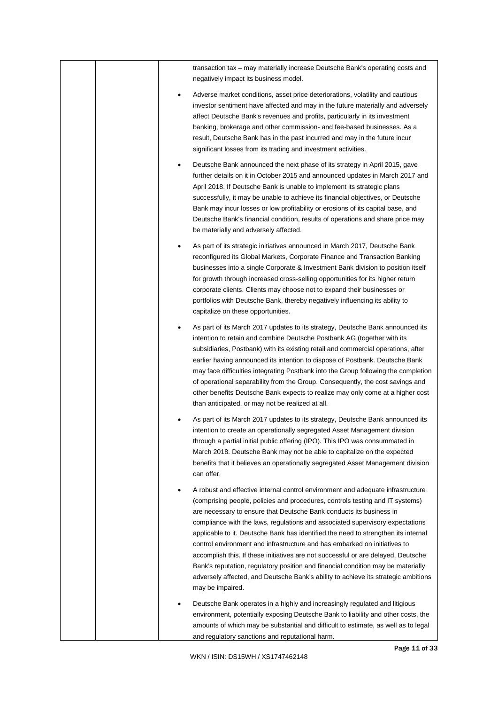|  | transaction tax – may materially increase Deutsche Bank's operating costs and<br>negatively impact its business model.                                                                                                                                                                                                                                                                                                                                                                                                                                                                                                                                                                                                                                                         |
|--|--------------------------------------------------------------------------------------------------------------------------------------------------------------------------------------------------------------------------------------------------------------------------------------------------------------------------------------------------------------------------------------------------------------------------------------------------------------------------------------------------------------------------------------------------------------------------------------------------------------------------------------------------------------------------------------------------------------------------------------------------------------------------------|
|  | Adverse market conditions, asset price deteriorations, volatility and cautious<br>investor sentiment have affected and may in the future materially and adversely<br>affect Deutsche Bank's revenues and profits, particularly in its investment<br>banking, brokerage and other commission- and fee-based businesses. As a<br>result, Deutsche Bank has in the past incurred and may in the future incur<br>significant losses from its trading and investment activities.                                                                                                                                                                                                                                                                                                    |
|  | Deutsche Bank announced the next phase of its strategy in April 2015, gave<br>further details on it in October 2015 and announced updates in March 2017 and<br>April 2018. If Deutsche Bank is unable to implement its strategic plans<br>successfully, it may be unable to achieve its financial objectives, or Deutsche<br>Bank may incur losses or low profitability or erosions of its capital base, and<br>Deutsche Bank's financial condition, results of operations and share price may<br>be materially and adversely affected.                                                                                                                                                                                                                                        |
|  | As part of its strategic initiatives announced in March 2017, Deutsche Bank<br>reconfigured its Global Markets, Corporate Finance and Transaction Banking<br>businesses into a single Corporate & Investment Bank division to position itself<br>for growth through increased cross-selling opportunities for its higher return<br>corporate clients. Clients may choose not to expand their businesses or<br>portfolios with Deutsche Bank, thereby negatively influencing its ability to<br>capitalize on these opportunities.                                                                                                                                                                                                                                               |
|  | As part of its March 2017 updates to its strategy, Deutsche Bank announced its<br>intention to retain and combine Deutsche Postbank AG (together with its<br>subsidiaries, Postbank) with its existing retail and commercial operations, after<br>earlier having announced its intention to dispose of Postbank. Deutsche Bank<br>may face difficulties integrating Postbank into the Group following the completion<br>of operational separability from the Group. Consequently, the cost savings and<br>other benefits Deutsche Bank expects to realize may only come at a higher cost<br>than anticipated, or may not be realized at all.                                                                                                                                   |
|  | As part of its March 2017 updates to its strategy, Deutsche Bank announced its<br>intention to create an operationally segregated Asset Management division<br>through a partial initial public offering (IPO). This IPO was consummated in<br>March 2018. Deutsche Bank may not be able to capitalize on the expected<br>benefits that it believes an operationally segregated Asset Management division<br>can offer.                                                                                                                                                                                                                                                                                                                                                        |
|  | A robust and effective internal control environment and adequate infrastructure<br>(comprising people, policies and procedures, controls testing and IT systems)<br>are necessary to ensure that Deutsche Bank conducts its business in<br>compliance with the laws, regulations and associated supervisory expectations<br>applicable to it. Deutsche Bank has identified the need to strengthen its internal<br>control environment and infrastructure and has embarked on initiatives to<br>accomplish this. If these initiatives are not successful or are delayed, Deutsche<br>Bank's reputation, regulatory position and financial condition may be materially<br>adversely affected, and Deutsche Bank's ability to achieve its strategic ambitions<br>may be impaired. |
|  | Deutsche Bank operates in a highly and increasingly regulated and litigious<br>environment, potentially exposing Deutsche Bank to liability and other costs, the<br>amounts of which may be substantial and difficult to estimate, as well as to legal<br>and regulatory sanctions and reputational harm.                                                                                                                                                                                                                                                                                                                                                                                                                                                                      |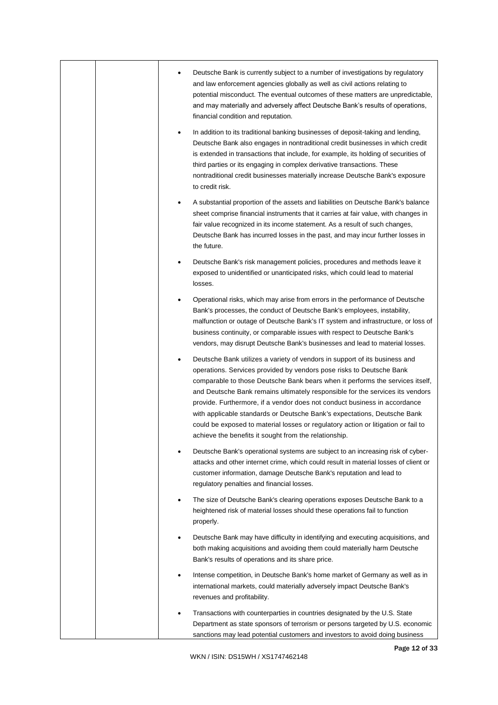|  | Deutsche Bank is currently subject to a number of investigations by regulatory                                                                                                                                                                                                                                                                                                                                                                                                                                                                                                                                              |
|--|-----------------------------------------------------------------------------------------------------------------------------------------------------------------------------------------------------------------------------------------------------------------------------------------------------------------------------------------------------------------------------------------------------------------------------------------------------------------------------------------------------------------------------------------------------------------------------------------------------------------------------|
|  | and law enforcement agencies globally as well as civil actions relating to<br>potential misconduct. The eventual outcomes of these matters are unpredictable,<br>and may materially and adversely affect Deutsche Bank's results of operations,<br>financial condition and reputation.                                                                                                                                                                                                                                                                                                                                      |
|  | In addition to its traditional banking businesses of deposit-taking and lending,<br>Deutsche Bank also engages in nontraditional credit businesses in which credit<br>is extended in transactions that include, for example, its holding of securities of<br>third parties or its engaging in complex derivative transactions. These<br>nontraditional credit businesses materially increase Deutsche Bank's exposure<br>to credit risk.                                                                                                                                                                                    |
|  | A substantial proportion of the assets and liabilities on Deutsche Bank's balance<br>sheet comprise financial instruments that it carries at fair value, with changes in<br>fair value recognized in its income statement. As a result of such changes,<br>Deutsche Bank has incurred losses in the past, and may incur further losses in<br>the future.                                                                                                                                                                                                                                                                    |
|  | Deutsche Bank's risk management policies, procedures and methods leave it<br>exposed to unidentified or unanticipated risks, which could lead to material<br>losses.                                                                                                                                                                                                                                                                                                                                                                                                                                                        |
|  | Operational risks, which may arise from errors in the performance of Deutsche<br>Bank's processes, the conduct of Deutsche Bank's employees, instability,<br>malfunction or outage of Deutsche Bank's IT system and infrastructure, or loss of<br>business continuity, or comparable issues with respect to Deutsche Bank's<br>vendors, may disrupt Deutsche Bank's businesses and lead to material losses.                                                                                                                                                                                                                 |
|  | Deutsche Bank utilizes a variety of vendors in support of its business and<br>operations. Services provided by vendors pose risks to Deutsche Bank<br>comparable to those Deutsche Bank bears when it performs the services itself,<br>and Deutsche Bank remains ultimately responsible for the services its vendors<br>provide. Furthermore, if a vendor does not conduct business in accordance<br>with applicable standards or Deutsche Bank's expectations, Deutsche Bank<br>could be exposed to material losses or regulatory action or litigation or fail to<br>achieve the benefits it sought from the relationship. |
|  | Deutsche Bank's operational systems are subject to an increasing risk of cyber-<br>attacks and other internet crime, which could result in material losses of client or<br>customer information, damage Deutsche Bank's reputation and lead to<br>regulatory penalties and financial losses.                                                                                                                                                                                                                                                                                                                                |
|  | The size of Deutsche Bank's clearing operations exposes Deutsche Bank to a<br>heightened risk of material losses should these operations fail to function<br>properly.                                                                                                                                                                                                                                                                                                                                                                                                                                                      |
|  | Deutsche Bank may have difficulty in identifying and executing acquisitions, and<br>both making acquisitions and avoiding them could materially harm Deutsche<br>Bank's results of operations and its share price.                                                                                                                                                                                                                                                                                                                                                                                                          |
|  | Intense competition, in Deutsche Bank's home market of Germany as well as in<br>international markets, could materially adversely impact Deutsche Bank's<br>revenues and profitability.                                                                                                                                                                                                                                                                                                                                                                                                                                     |
|  | Transactions with counterparties in countries designated by the U.S. State<br>Department as state sponsors of terrorism or persons targeted by U.S. economic<br>sanctions may lead potential customers and investors to avoid doing business                                                                                                                                                                                                                                                                                                                                                                                |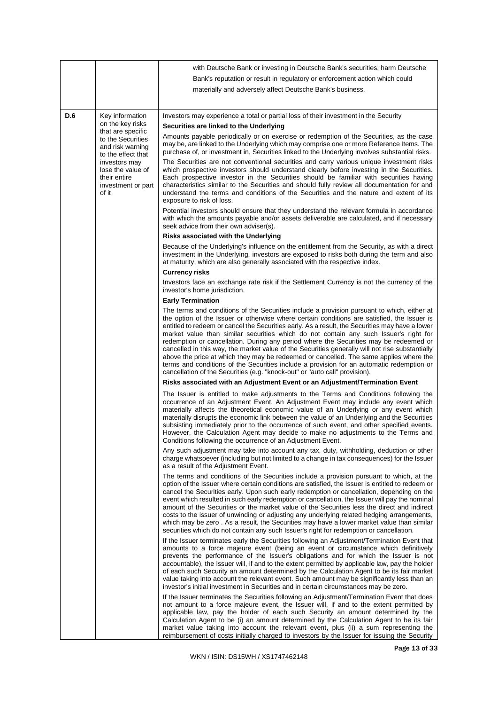|     |                                                                                   | with Deutsche Bank or investing in Deutsche Bank's securities, harm Deutsche                                                                                                                                                                                                                                                                                                                                                                                                                                                                                                                                                                                                                                                                                                                                                                             |
|-----|-----------------------------------------------------------------------------------|----------------------------------------------------------------------------------------------------------------------------------------------------------------------------------------------------------------------------------------------------------------------------------------------------------------------------------------------------------------------------------------------------------------------------------------------------------------------------------------------------------------------------------------------------------------------------------------------------------------------------------------------------------------------------------------------------------------------------------------------------------------------------------------------------------------------------------------------------------|
|     |                                                                                   | Bank's reputation or result in regulatory or enforcement action which could                                                                                                                                                                                                                                                                                                                                                                                                                                                                                                                                                                                                                                                                                                                                                                              |
|     |                                                                                   | materially and adversely affect Deutsche Bank's business.                                                                                                                                                                                                                                                                                                                                                                                                                                                                                                                                                                                                                                                                                                                                                                                                |
|     |                                                                                   |                                                                                                                                                                                                                                                                                                                                                                                                                                                                                                                                                                                                                                                                                                                                                                                                                                                          |
| D.6 | Key information                                                                   | Investors may experience a total or partial loss of their investment in the Security                                                                                                                                                                                                                                                                                                                                                                                                                                                                                                                                                                                                                                                                                                                                                                     |
|     | on the key risks<br>that are specific                                             | Securities are linked to the Underlying                                                                                                                                                                                                                                                                                                                                                                                                                                                                                                                                                                                                                                                                                                                                                                                                                  |
|     | to the Securities<br>and risk warning<br>to the effect that                       | Amounts payable periodically or on exercise or redemption of the Securities, as the case<br>may be, are linked to the Underlying which may comprise one or more Reference Items. The<br>purchase of, or investment in, Securities linked to the Underlying involves substantial risks.                                                                                                                                                                                                                                                                                                                                                                                                                                                                                                                                                                   |
|     | investors may<br>lose the value of<br>their entire<br>investment or part<br>of it | The Securities are not conventional securities and carry various unique investment risks<br>which prospective investors should understand clearly before investing in the Securities.<br>Each prospective investor in the Securities should be familiar with securities having<br>characteristics similar to the Securities and should fully review all documentation for and<br>understand the terms and conditions of the Securities and the nature and extent of its<br>exposure to risk of loss.                                                                                                                                                                                                                                                                                                                                                     |
|     |                                                                                   | Potential investors should ensure that they understand the relevant formula in accordance<br>with which the amounts payable and/or assets deliverable are calculated, and if necessary<br>seek advice from their own adviser(s).                                                                                                                                                                                                                                                                                                                                                                                                                                                                                                                                                                                                                         |
|     |                                                                                   | Risks associated with the Underlying                                                                                                                                                                                                                                                                                                                                                                                                                                                                                                                                                                                                                                                                                                                                                                                                                     |
|     |                                                                                   | Because of the Underlying's influence on the entitlement from the Security, as with a direct<br>investment in the Underlying, investors are exposed to risks both during the term and also<br>at maturity, which are also generally associated with the respective index.                                                                                                                                                                                                                                                                                                                                                                                                                                                                                                                                                                                |
|     |                                                                                   | <b>Currency risks</b><br>Investors face an exchange rate risk if the Settlement Currency is not the currency of the<br>investor's home jurisdiction.                                                                                                                                                                                                                                                                                                                                                                                                                                                                                                                                                                                                                                                                                                     |
|     |                                                                                   | <b>Early Termination</b>                                                                                                                                                                                                                                                                                                                                                                                                                                                                                                                                                                                                                                                                                                                                                                                                                                 |
|     |                                                                                   | The terms and conditions of the Securities include a provision pursuant to which, either at<br>the option of the Issuer or otherwise where certain conditions are satisfied, the Issuer is<br>entitled to redeem or cancel the Securities early. As a result, the Securities may have a lower<br>market value than similar securities which do not contain any such Issuer's right for<br>redemption or cancellation. During any period where the Securities may be redeemed or<br>cancelled in this way, the market value of the Securities generally will not rise substantially<br>above the price at which they may be redeemed or cancelled. The same applies where the<br>terms and conditions of the Securities include a provision for an automatic redemption or<br>cancellation of the Securities (e.g. "knock-out" or "auto call" provision). |
|     |                                                                                   | Risks associated with an Adjustment Event or an Adjustment/Termination Event                                                                                                                                                                                                                                                                                                                                                                                                                                                                                                                                                                                                                                                                                                                                                                             |
|     |                                                                                   | The Issuer is entitled to make adjustments to the Terms and Conditions following the<br>occurrence of an Adjustment Event. An Adjustment Event may include any event which<br>materially affects the theoretical economic value of an Underlying or any event which<br>materially disrupts the economic link between the value of an Underlying and the Securities<br>subsisting immediately prior to the occurrence of such event, and other specified events.<br>However, the Calculation Agent may decide to make no adjustments to the Terms and<br>Conditions following the occurrence of an Adjustment Event.                                                                                                                                                                                                                                      |
|     |                                                                                   | Any such adjustment may take into account any tax, duty, withholding, deduction or other<br>charge whatsoever (including but not limited to a change in tax consequences) for the Issuer<br>as a result of the Adjustment Event.                                                                                                                                                                                                                                                                                                                                                                                                                                                                                                                                                                                                                         |
|     |                                                                                   | The terms and conditions of the Securities include a provision pursuant to which, at the<br>option of the Issuer where certain conditions are satisfied, the Issuer is entitled to redeem or<br>cancel the Securities early. Upon such early redemption or cancellation, depending on the<br>event which resulted in such early redemption or cancellation, the Issuer will pay the nominal<br>amount of the Securities or the market value of the Securities less the direct and indirect<br>costs to the issuer of unwinding or adjusting any underlying related hedging arrangements,<br>which may be zero. As a result, the Securities may have a lower market value than similar<br>securities which do not contain any such Issuer's right for redemption or cancellation.                                                                         |
|     |                                                                                   | If the Issuer terminates early the Securities following an Adjustment/Termination Event that<br>amounts to a force majeure event (being an event or circumstance which definitively<br>prevents the performance of the Issuer's obligations and for which the Issuer is not<br>accountable), the Issuer will, if and to the extent permitted by applicable law, pay the holder<br>of each such Security an amount determined by the Calculation Agent to be its fair market<br>value taking into account the relevant event. Such amount may be significantly less than an<br>investor's initial investment in Securities and in certain circumstances may be zero.                                                                                                                                                                                      |
|     |                                                                                   | If the Issuer terminates the Securities following an Adjustment/Termination Event that does<br>not amount to a force majeure event, the Issuer will, if and to the extent permitted by<br>applicable law, pay the holder of each such Security an amount determined by the<br>Calculation Agent to be (i) an amount determined by the Calculation Agent to be its fair<br>market value taking into account the relevant event, plus (ii) a sum representing the<br>reimbursement of costs initially charged to investors by the Issuer for issuing the Security                                                                                                                                                                                                                                                                                          |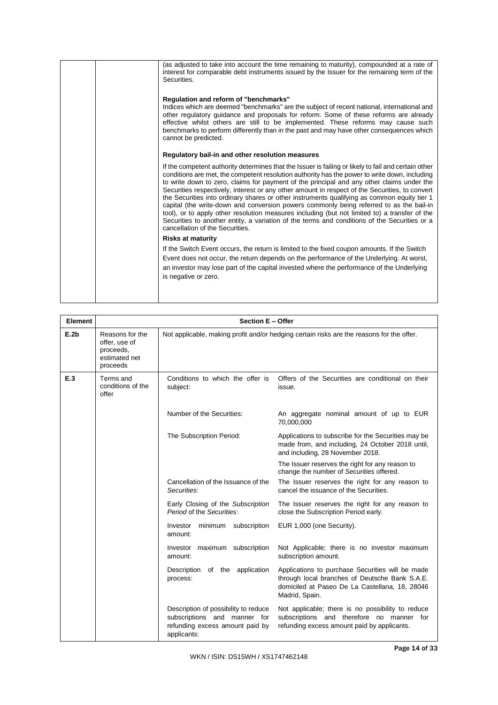| (as adjusted to take into account the time remaining to maturity), compounded at a rate of<br>interest for comparable debt instruments issued by the Issuer for the remaining term of the<br>Securities.<br>Regulation and reform of "benchmarks"<br>Indices which are deemed "benchmarks" are the subject of recent national, international and                                                                                                                                                                                                                                                                                                                                                                                                                                                                                   |
|------------------------------------------------------------------------------------------------------------------------------------------------------------------------------------------------------------------------------------------------------------------------------------------------------------------------------------------------------------------------------------------------------------------------------------------------------------------------------------------------------------------------------------------------------------------------------------------------------------------------------------------------------------------------------------------------------------------------------------------------------------------------------------------------------------------------------------|
| other regulatory guidance and proposals for reform. Some of these reforms are already<br>effective whilst others are still to be implemented. These reforms may cause such<br>benchmarks to perform differently than in the past and may have other consequences which<br>cannot be predicted.                                                                                                                                                                                                                                                                                                                                                                                                                                                                                                                                     |
| Regulatory bail-in and other resolution measures                                                                                                                                                                                                                                                                                                                                                                                                                                                                                                                                                                                                                                                                                                                                                                                   |
| If the competent authority determines that the Issuer is failing or likely to fail and certain other<br>conditions are met, the competent resolution authority has the power to write down, including<br>to write down to zero, claims for payment of the principal and any other claims under the<br>Securities respectively, interest or any other amount in respect of the Securities, to convert<br>the Securities into ordinary shares or other instruments qualifying as common equity tier 1<br>capital (the write-down and conversion powers commonly being referred to as the bail-in<br>tool), or to apply other resolution measures including (but not limited to) a transfer of the<br>Securities to another entity, a variation of the terms and conditions of the Securities or a<br>cancellation of the Securities. |
| <b>Risks at maturity</b>                                                                                                                                                                                                                                                                                                                                                                                                                                                                                                                                                                                                                                                                                                                                                                                                           |
| If the Switch Event occurs, the return is limited to the fixed coupon amounts. If the Switch<br>Event does not occur, the return depends on the performance of the Underlying. At worst,<br>an investor may lose part of the capital invested where the performance of the Underlying<br>is negative or zero.                                                                                                                                                                                                                                                                                                                                                                                                                                                                                                                      |
|                                                                                                                                                                                                                                                                                                                                                                                                                                                                                                                                                                                                                                                                                                                                                                                                                                    |

| Element | Section E - Offer                                                          |                                                                                                                        |                                                                                                                                                                        |  |  |
|---------|----------------------------------------------------------------------------|------------------------------------------------------------------------------------------------------------------------|------------------------------------------------------------------------------------------------------------------------------------------------------------------------|--|--|
| E.2b    | Reasons for the<br>offer, use of<br>proceeds,<br>estimated net<br>proceeds | Not applicable, making profit and/or hedging certain risks are the reasons for the offer.                              |                                                                                                                                                                        |  |  |
| E.3     | Terms and<br>conditions of the<br>offer                                    | Conditions to which the offer is<br>subject:                                                                           | Offers of the Securities are conditional on their<br>issue.                                                                                                            |  |  |
|         |                                                                            | Number of the Securities:                                                                                              | An aggregate nominal amount of up to EUR<br>70,000,000                                                                                                                 |  |  |
|         |                                                                            | The Subscription Period:                                                                                               | Applications to subscribe for the Securities may be<br>made from, and including, 24 October 2018 until,<br>and including, 28 November 2018.                            |  |  |
|         |                                                                            |                                                                                                                        | The Issuer reserves the right for any reason to<br>change the number of Securities offered.                                                                            |  |  |
|         |                                                                            | Cancellation of the Issuance of the<br>Securities:                                                                     | The Issuer reserves the right for any reason to<br>cancel the issuance of the Securities.                                                                              |  |  |
|         |                                                                            | Early Closing of the Subscription<br>Period of the Securities:                                                         | The Issuer reserves the right for any reason to<br>close the Subscription Period early.                                                                                |  |  |
|         |                                                                            | Investor minimum subscription<br>amount:                                                                               | EUR 1,000 (one Security).                                                                                                                                              |  |  |
|         |                                                                            | Investor maximum subscription<br>amount:                                                                               | Not Applicable; there is no investor maximum<br>subscription amount.                                                                                                   |  |  |
|         |                                                                            | Description of the application<br>process:                                                                             | Applications to purchase Securities will be made<br>through local branches of Deutsche Bank S.A.E.<br>domiciled at Paseo De La Castellana, 18, 28046<br>Madrid, Spain. |  |  |
|         |                                                                            | Description of possibility to reduce<br>subscriptions and manner for<br>refunding excess amount paid by<br>applicants: | Not applicable; there is no possibility to reduce<br>subscriptions and therefore no manner for<br>refunding excess amount paid by applicants.                          |  |  |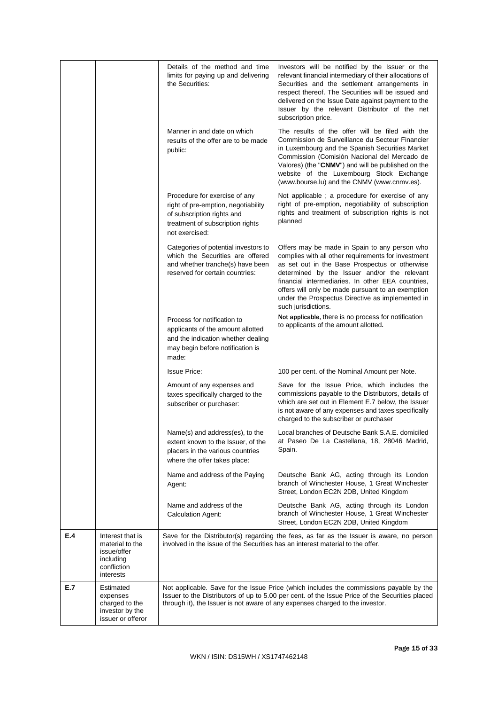|     |                                                                                             | Details of the method and time<br>limits for paying up and delivering<br>the Securities:                                                                 | Investors will be notified by the Issuer or the<br>relevant financial intermediary of their allocations of<br>Securities and the settlement arrangements in<br>respect thereof. The Securities will be issued and<br>delivered on the Issue Date against payment to the<br>Issuer by the relevant Distributor of the net<br>subscription price.                                             |
|-----|---------------------------------------------------------------------------------------------|----------------------------------------------------------------------------------------------------------------------------------------------------------|---------------------------------------------------------------------------------------------------------------------------------------------------------------------------------------------------------------------------------------------------------------------------------------------------------------------------------------------------------------------------------------------|
|     |                                                                                             | Manner in and date on which<br>results of the offer are to be made<br>public:                                                                            | The results of the offer will be filed with the<br>Commission de Surveillance du Secteur Financier<br>in Luxembourg and the Spanish Securities Market<br>Commission (Comisión Nacional del Mercado de<br>Valores) (the "CNMV") and will be published on the<br>website of the Luxembourg Stock Exchange<br>(www.bourse.lu) and the CNMV (www.cnmv.es).                                      |
|     |                                                                                             | Procedure for exercise of any<br>right of pre-emption, negotiability<br>of subscription rights and<br>treatment of subscription rights<br>not exercised: | Not applicable; a procedure for exercise of any<br>right of pre-emption, negotiability of subscription<br>rights and treatment of subscription rights is not<br>planned                                                                                                                                                                                                                     |
|     |                                                                                             | Categories of potential investors to<br>which the Securities are offered<br>and whether tranche(s) have been<br>reserved for certain countries:          | Offers may be made in Spain to any person who<br>complies with all other requirements for investment<br>as set out in the Base Prospectus or otherwise<br>determined by the Issuer and/or the relevant<br>financial intermediaries. In other EEA countries,<br>offers will only be made pursuant to an exemption<br>under the Prospectus Directive as implemented in<br>such jurisdictions. |
|     |                                                                                             | Process for notification to<br>applicants of the amount allotted<br>and the indication whether dealing<br>may begin before notification is<br>made:      | Not applicable, there is no process for notification<br>to applicants of the amount allotted.                                                                                                                                                                                                                                                                                               |
|     |                                                                                             | <b>Issue Price:</b>                                                                                                                                      | 100 per cent. of the Nominal Amount per Note.                                                                                                                                                                                                                                                                                                                                               |
|     |                                                                                             | Amount of any expenses and<br>taxes specifically charged to the<br>subscriber or purchaser:                                                              | Save for the Issue Price, which includes the<br>commissions payable to the Distributors, details of<br>which are set out in Element E.7 below, the Issuer<br>is not aware of any expenses and taxes specifically<br>charged to the subscriber or purchaser                                                                                                                                  |
|     |                                                                                             | Name(s) and address(es), to the<br>extent known to the Issuer, of the<br>placers in the various countries<br>where the offer takes place:                | Local branches of Deutsche Bank S.A.E. domiciled<br>at Paseo De La Castellana, 18, 28046 Madrid,<br>Spain.                                                                                                                                                                                                                                                                                  |
|     |                                                                                             | Name and address of the Paying<br>Agent:                                                                                                                 | Deutsche Bank AG, acting through its London<br>branch of Winchester House, 1 Great Winchester<br>Street, London EC2N 2DB, United Kingdom                                                                                                                                                                                                                                                    |
|     |                                                                                             | Name and address of the<br><b>Calculation Agent:</b>                                                                                                     | Deutsche Bank AG, acting through its London<br>branch of Winchester House, 1 Great Winchester<br>Street, London EC2N 2DB, United Kingdom                                                                                                                                                                                                                                                    |
| E.4 | Interest that is<br>material to the<br>issue/offer<br>including<br>confliction<br>interests | involved in the issue of the Securities has an interest material to the offer.                                                                           | Save for the Distributor(s) regarding the fees, as far as the Issuer is aware, no person                                                                                                                                                                                                                                                                                                    |
| E.7 | Estimated<br>expenses<br>charged to the<br>investor by the<br>issuer or offeror             |                                                                                                                                                          | Not applicable. Save for the Issue Price (which includes the commissions payable by the<br>Issuer to the Distributors of up to 5.00 per cent. of the Issue Price of the Securities placed<br>through it), the Issuer is not aware of any expenses charged to the investor.                                                                                                                  |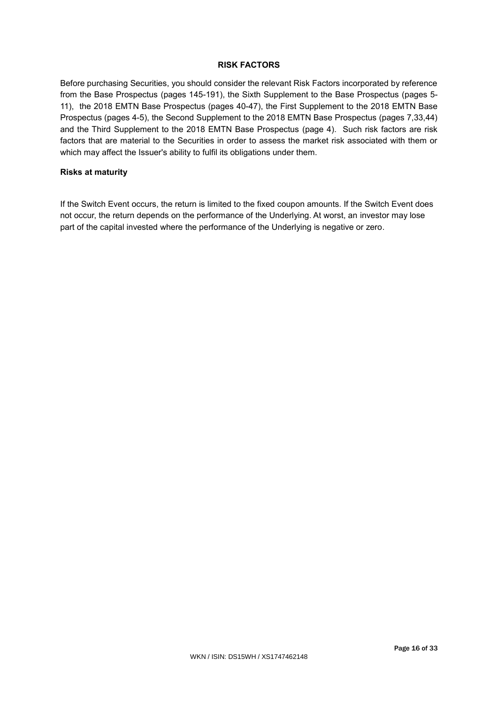# **RISK FACTORS**

Before purchasing Securities, you should consider the relevant Risk Factors incorporated by reference from the Base Prospectus (pages 145-191), the Sixth Supplement to the Base Prospectus (pages 5- 11), the 2018 EMTN Base Prospectus (pages 40-47), the First Supplement to the 2018 EMTN Base Prospectus (pages 4-5), the Second Supplement to the 2018 EMTN Base Prospectus (pages 7,33,44) and the Third Supplement to the 2018 EMTN Base Prospectus (page 4). Such risk factors are risk factors that are material to the Securities in order to assess the market risk associated with them or which may affect the Issuer's ability to fulfil its obligations under them.

# **Risks at maturity**

If the Switch Event occurs, the return is limited to the fixed coupon amounts. If the Switch Event does not occur, the return depends on the performance of the Underlying. At worst, an investor may lose part of the capital invested where the performance of the Underlying is negative or zero.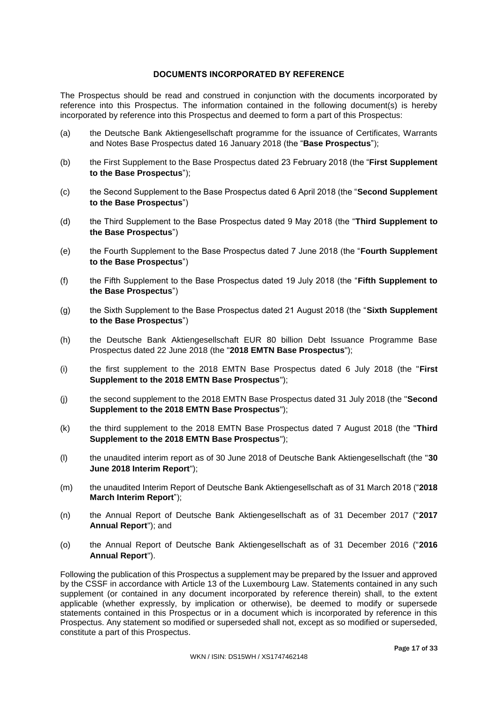## **DOCUMENTS INCORPORATED BY REFERENCE**

The Prospectus should be read and construed in conjunction with the documents incorporated by reference into this Prospectus. The information contained in the following document(s) is hereby incorporated by reference into this Prospectus and deemed to form a part of this Prospectus:

- (a) the Deutsche Bank Aktiengesellschaft programme for the issuance of Certificates, Warrants and Notes Base Prospectus dated 16 January 2018 (the "**Base Prospectus**");
- (b) the First Supplement to the Base Prospectus dated 23 February 2018 (the "**First Supplement to the Base Prospectus**");
- (c) the Second Supplement to the Base Prospectus dated 6 April 2018 (the "**Second Supplement to the Base Prospectus**")
- (d) the Third Supplement to the Base Prospectus dated 9 May 2018 (the "**Third Supplement to the Base Prospectus**")
- (e) the Fourth Supplement to the Base Prospectus dated 7 June 2018 (the "**Fourth Supplement to the Base Prospectus**")
- (f) the Fifth Supplement to the Base Prospectus dated 19 July 2018 (the "**Fifth Supplement to the Base Prospectus**")
- (g) the Sixth Supplement to the Base Prospectus dated 21 August 2018 (the "**Sixth Supplement to the Base Prospectus**")
- (h) the Deutsche Bank Aktiengesellschaft EUR 80 billion Debt Issuance Programme Base Prospectus dated 22 June 2018 (the "**2018 EMTN Base Prospectus**");
- (i) the first supplement to the 2018 EMTN Base Prospectus dated 6 July 2018 (the "**First Supplement to the 2018 EMTN Base Prospectus**");
- (j) the second supplement to the 2018 EMTN Base Prospectus dated 31 July 2018 (the "**Second Supplement to the 2018 EMTN Base Prospectus**");
- (k) the third supplement to the 2018 EMTN Base Prospectus dated 7 August 2018 (the "**Third Supplement to the 2018 EMTN Base Prospectus**");
- (l) the unaudited interim report as of 30 June 2018 of Deutsche Bank Aktiengesellschaft (the "**30 June 2018 Interim Report**");
- (m) the unaudited Interim Report of Deutsche Bank Aktiengesellschaft as of 31 March 2018 ("**2018 March Interim Report**");
- (n) the Annual Report of Deutsche Bank Aktiengesellschaft as of 31 December 2017 ("**2017 Annual Report**"); and
- (o) the Annual Report of Deutsche Bank Aktiengesellschaft as of 31 December 2016 ("**2016 Annual Report**").

Following the publication of this Prospectus a supplement may be prepared by the Issuer and approved by the CSSF in accordance with Article 13 of the Luxembourg Law. Statements contained in any such supplement (or contained in any document incorporated by reference therein) shall, to the extent applicable (whether expressly, by implication or otherwise), be deemed to modify or supersede statements contained in this Prospectus or in a document which is incorporated by reference in this Prospectus. Any statement so modified or superseded shall not, except as so modified or superseded, constitute a part of this Prospectus.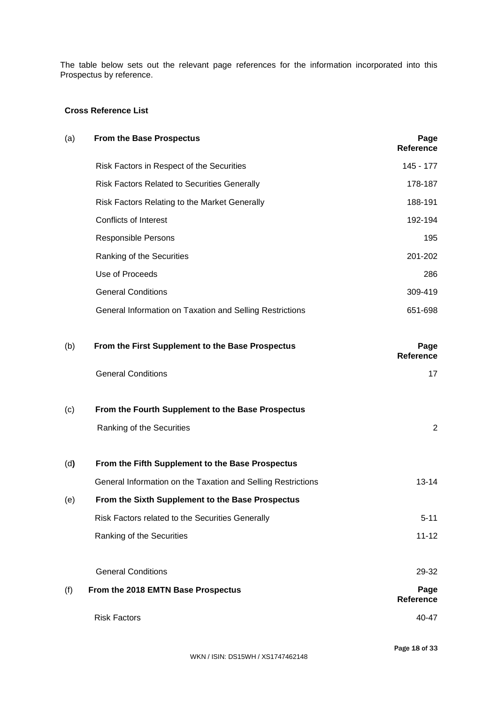The table below sets out the relevant page references for the information incorporated into this Prospectus by reference.

# **Cross Reference List**

| (a) | <b>From the Base Prospectus</b>                              | Page<br>Reference        |
|-----|--------------------------------------------------------------|--------------------------|
|     | Risk Factors in Respect of the Securities                    | 145 - 177                |
|     | <b>Risk Factors Related to Securities Generally</b>          | 178-187                  |
|     | Risk Factors Relating to the Market Generally                | 188-191                  |
|     | <b>Conflicts of Interest</b>                                 | 192-194                  |
|     | <b>Responsible Persons</b>                                   | 195                      |
|     | Ranking of the Securities                                    | 201-202                  |
|     | Use of Proceeds                                              | 286                      |
|     | <b>General Conditions</b>                                    | 309-419                  |
|     | General Information on Taxation and Selling Restrictions     | 651-698                  |
| (b) | From the First Supplement to the Base Prospectus             | Page<br><b>Reference</b> |
|     | <b>General Conditions</b>                                    | 17                       |
| (c) | From the Fourth Supplement to the Base Prospectus            |                          |
|     | Ranking of the Securities                                    | $\overline{2}$           |
| (d) | From the Fifth Supplement to the Base Prospectus             |                          |
|     | General Information on the Taxation and Selling Restrictions | $13 - 14$                |
| (e) | From the Sixth Supplement to the Base Prospectus             |                          |
|     | Risk Factors related to the Securities Generally             | $5 - 11$                 |
|     | Ranking of the Securities                                    | $11 - 12$                |
|     | <b>General Conditions</b>                                    | 29-32                    |
| (f) | From the 2018 EMTN Base Prospectus                           | Page<br>Reference        |
|     | <b>Risk Factors</b>                                          | 40-47                    |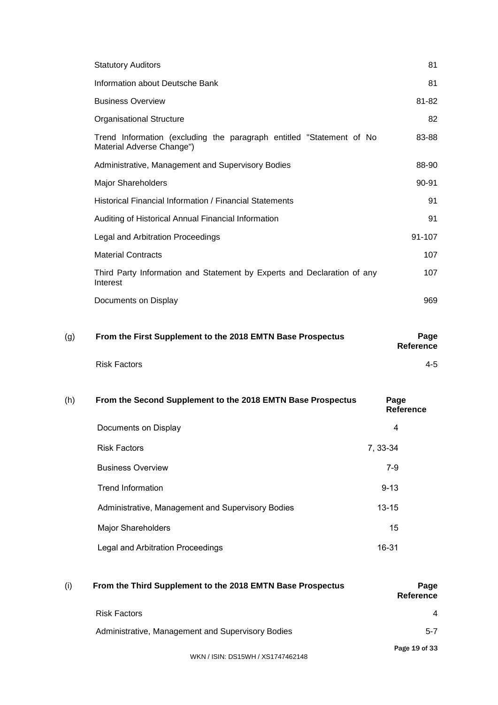| (g) | From the First Supplement to the 2018 EMTN Base Prospectus                                        | Page<br><b>Reference</b> |
|-----|---------------------------------------------------------------------------------------------------|--------------------------|
|     | Documents on Display                                                                              | 969                      |
|     | Third Party Information and Statement by Experts and Declaration of any<br>Interest               | 107                      |
|     | <b>Material Contracts</b>                                                                         | 107                      |
|     | Legal and Arbitration Proceedings                                                                 | 91-107                   |
|     | Auditing of Historical Annual Financial Information                                               | 91                       |
|     | Historical Financial Information / Financial Statements                                           | 91                       |
|     | Major Shareholders                                                                                | 90-91                    |
|     | Administrative, Management and Supervisory Bodies                                                 | 88-90                    |
|     | Trend Information (excluding the paragraph entitled "Statement of No<br>Material Adverse Change") | 83-88                    |
|     | <b>Organisational Structure</b>                                                                   | 82                       |
|     | <b>Business Overview</b>                                                                          | 81-82                    |
|     | Information about Deutsche Bank                                                                   | 81                       |
|     | <b>Statutory Auditors</b>                                                                         | 81                       |

Risk Factors 4-5

| (h) | From the Second Supplement to the 2018 EMTN Base Prospectus | Page<br><b>Reference</b> |
|-----|-------------------------------------------------------------|--------------------------|
|     | Documents on Display                                        | 4                        |
|     | <b>Risk Factors</b>                                         | 7, 33-34                 |
|     | <b>Business Overview</b>                                    | $7-9$                    |
|     | <b>Trend Information</b>                                    | $9 - 13$                 |
|     | Administrative, Management and Supervisory Bodies           | $13 - 15$                |
|     | <b>Major Shareholders</b>                                   | 15                       |
|     | Legal and Arbitration Proceedings                           | 16-31                    |

| (i) | From the Third Supplement to the 2018 EMTN Base Prospectus | Page<br><b>Reference</b> |
|-----|------------------------------------------------------------|--------------------------|
|     | <b>Risk Factors</b>                                        | $\overline{4}$           |
|     | Administrative, Management and Supervisory Bodies          | $5 - 7$                  |
|     |                                                            | Page 19 of 33            |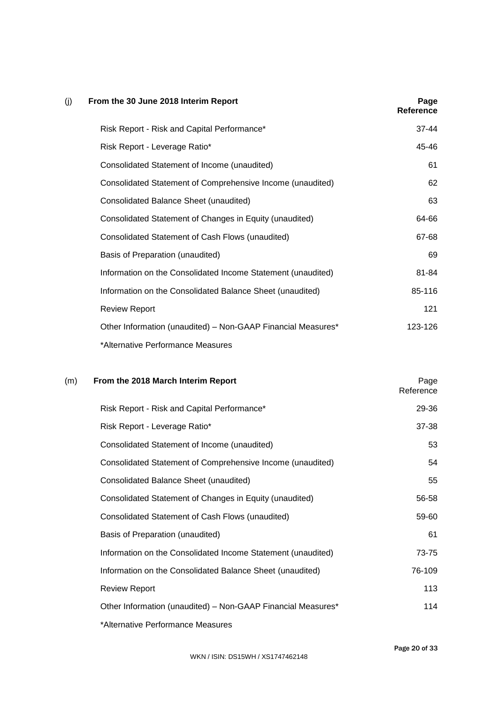| (j) | From the 30 June 2018 Interim Report                         | Page<br>Reference |
|-----|--------------------------------------------------------------|-------------------|
|     | Risk Report - Risk and Capital Performance*                  | 37-44             |
|     | Risk Report - Leverage Ratio*                                | 45-46             |
|     | Consolidated Statement of Income (unaudited)                 | 61                |
|     | Consolidated Statement of Comprehensive Income (unaudited)   | 62                |
|     | Consolidated Balance Sheet (unaudited)                       | 63                |
|     | Consolidated Statement of Changes in Equity (unaudited)      | 64-66             |
|     | Consolidated Statement of Cash Flows (unaudited)             | 67-68             |
|     | Basis of Preparation (unaudited)                             | 69                |
|     | Information on the Consolidated Income Statement (unaudited) | 81-84             |
|     | Information on the Consolidated Balance Sheet (unaudited)    | 85-116            |
|     | <b>Review Report</b>                                         | 121               |
|     | Other Information (unaudited) - Non-GAAP Financial Measures* | 123-126           |
|     | *Alternative Performance Measures                            |                   |

# (m) **From the 2018 March Interim Report** Page

| Risk Report - Risk and Capital Performance*                  | 29-36  |
|--------------------------------------------------------------|--------|
| Risk Report - Leverage Ratio*                                | 37-38  |
| Consolidated Statement of Income (unaudited)                 | 53     |
| Consolidated Statement of Comprehensive Income (unaudited)   | 54     |
| Consolidated Balance Sheet (unaudited)                       | 55     |
| Consolidated Statement of Changes in Equity (unaudited)      | 56-58  |
| Consolidated Statement of Cash Flows (unaudited)             | 59-60  |
| Basis of Preparation (unaudited)                             | 61     |
| Information on the Consolidated Income Statement (unaudited) | 73-75  |
| Information on the Consolidated Balance Sheet (unaudited)    | 76-109 |
| <b>Review Report</b>                                         | 113    |
| Other Information (unaudited) - Non-GAAP Financial Measures* | 114    |
| *Alternative Performance Measures                            |        |

**Reference**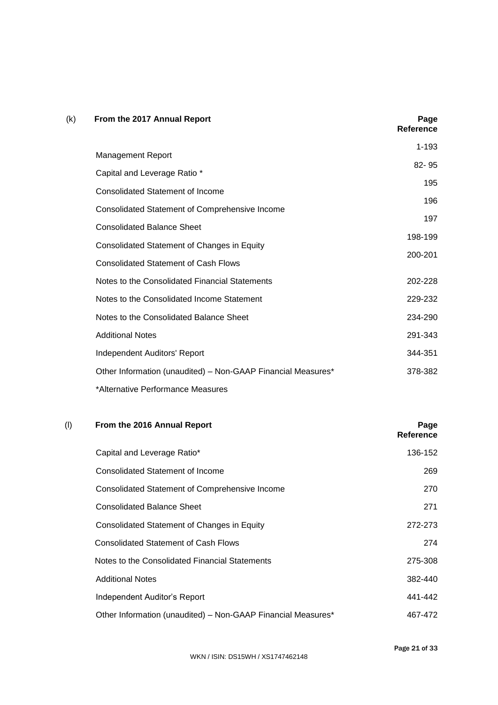| (k) | From the 2017 Annual Report                                  | Page<br><b>Reference</b> |
|-----|--------------------------------------------------------------|--------------------------|
|     |                                                              | $1 - 193$                |
|     | <b>Management Report</b>                                     | $82 - 95$                |
|     | Capital and Leverage Ratio *                                 | 195                      |
|     | <b>Consolidated Statement of Income</b>                      |                          |
|     | <b>Consolidated Statement of Comprehensive Income</b>        | 196                      |
|     | <b>Consolidated Balance Sheet</b>                            | 197                      |
|     |                                                              | 198-199                  |
|     | Consolidated Statement of Changes in Equity                  | 200-201                  |
|     | <b>Consolidated Statement of Cash Flows</b>                  |                          |
|     | Notes to the Consolidated Financial Statements               | 202-228                  |
|     | Notes to the Consolidated Income Statement                   | 229-232                  |
|     | Notes to the Consolidated Balance Sheet                      | 234-290                  |
|     | <b>Additional Notes</b>                                      | 291-343                  |
|     | Independent Auditors' Report                                 | 344-351                  |
|     | Other Information (unaudited) - Non-GAAP Financial Measures* | 378-382                  |
|     | *Alternative Performance Measures                            |                          |

# (l) **From the 2016 Annual Report Page**

|                                                              | Reference |
|--------------------------------------------------------------|-----------|
| Capital and Leverage Ratio*                                  | 136-152   |
| Consolidated Statement of Income                             | 269       |
| <b>Consolidated Statement of Comprehensive Income</b>        | 270       |
| <b>Consolidated Balance Sheet</b>                            | 271       |
| Consolidated Statement of Changes in Equity                  | 272-273   |
| <b>Consolidated Statement of Cash Flows</b>                  | 274       |
| Notes to the Consolidated Financial Statements               | 275-308   |
| <b>Additional Notes</b>                                      | 382-440   |
| Independent Auditor's Report                                 | 441-442   |
| Other Information (unaudited) - Non-GAAP Financial Measures* | 467-472   |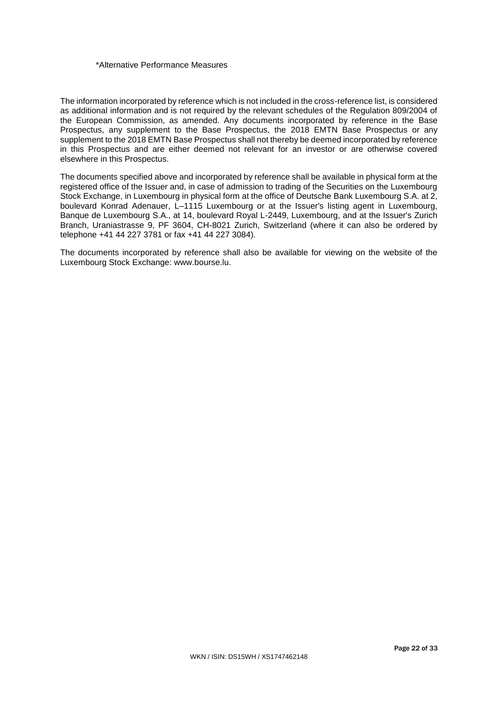## \*Alternative Performance Measures

The information incorporated by reference which is not included in the cross-reference list, is considered as additional information and is not required by the relevant schedules of the Regulation 809/2004 of the European Commission, as amended. Any documents incorporated by reference in the Base Prospectus, any supplement to the Base Prospectus, the 2018 EMTN Base Prospectus or any supplement to the 2018 EMTN Base Prospectus shall not thereby be deemed incorporated by reference in this Prospectus and are either deemed not relevant for an investor or are otherwise covered elsewhere in this Prospectus.

The documents specified above and incorporated by reference shall be available in physical form at the registered office of the Issuer and, in case of admission to trading of the Securities on the Luxembourg Stock Exchange, in Luxembourg in physical form at the office of Deutsche Bank Luxembourg S.A. at 2, boulevard Konrad Adenauer, L–1115 Luxembourg or at the Issuer's listing agent in Luxembourg, Banque de Luxembourg S.A., at 14, boulevard Royal L-2449, Luxembourg, and at the Issuer's Zurich Branch, Uraniastrasse 9, PF 3604, CH-8021 Zurich, Switzerland (where it can also be ordered by telephone +41 44 227 3781 or fax +41 44 227 3084).

The documents incorporated by reference shall also be available for viewing on the website of the Luxembourg Stock Exchange: www.bourse.lu.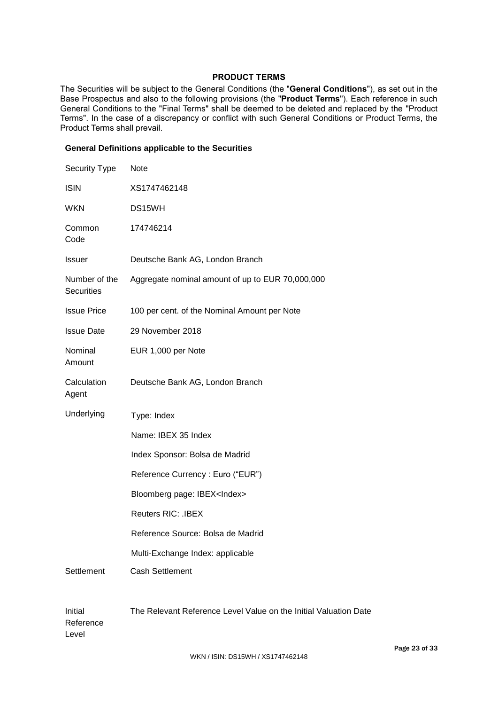# **PRODUCT TERMS**

The Securities will be subject to the General Conditions (the "**General Conditions**"), as set out in the Base Prospectus and also to the following provisions (the "**Product Terms**"). Each reference in such General Conditions to the "Final Terms" shall be deemed to be deleted and replaced by the "Product Terms". In the case of a discrepancy or conflict with such General Conditions or Product Terms, the Product Terms shall prevail.

## **General Definitions applicable to the Securities**

| Security Type                      | Note                                                             |
|------------------------------------|------------------------------------------------------------------|
| <b>ISIN</b>                        | XS1747462148                                                     |
| <b>WKN</b>                         | DS15WH                                                           |
| Common<br>Code                     | 174746214                                                        |
| <b>Issuer</b>                      | Deutsche Bank AG, London Branch                                  |
| Number of the<br><b>Securities</b> | Aggregate nominal amount of up to EUR 70,000,000                 |
| <b>Issue Price</b>                 | 100 per cent. of the Nominal Amount per Note                     |
| <b>Issue Date</b>                  | 29 November 2018                                                 |
| Nominal<br>Amount                  | EUR 1,000 per Note                                               |
| Calculation<br>Agent               | Deutsche Bank AG, London Branch                                  |
| Underlying                         | Type: Index                                                      |
|                                    | Name: IBEX 35 Index                                              |
|                                    | Index Sponsor: Bolsa de Madrid                                   |
|                                    | Reference Currency: Euro ("EUR")                                 |
|                                    | Bloomberg page: IBEX <index></index>                             |
|                                    | <b>Reuters RIC: .IBEX</b>                                        |
|                                    | Reference Source: Bolsa de Madrid                                |
|                                    | Multi-Exchange Index: applicable                                 |
| Settlement                         | <b>Cash Settlement</b>                                           |
|                                    |                                                                  |
| Initial<br>Reference               | The Relevant Reference Level Value on the Initial Valuation Date |

Reference Level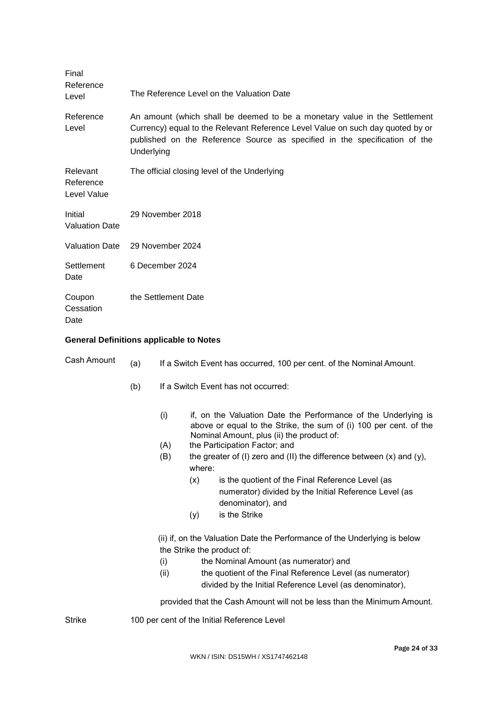| Final<br>Reference<br>Level          | The Reference Level on the Valuation Date                                                                                                                                                                                                               |
|--------------------------------------|---------------------------------------------------------------------------------------------------------------------------------------------------------------------------------------------------------------------------------------------------------|
| Reference<br>Level                   | An amount (which shall be deemed to be a monetary value in the Settlement<br>Currency) equal to the Relevant Reference Level Value on such day quoted by or<br>published on the Reference Source as specified in the specification of the<br>Underlying |
| Relevant<br>Reference<br>Level Value | The official closing level of the Underlying                                                                                                                                                                                                            |
| Initial<br><b>Valuation Date</b>     | 29 November 2018                                                                                                                                                                                                                                        |
| <b>Valuation Date</b>                | 29 November 2024                                                                                                                                                                                                                                        |
| Settlement<br>Date                   | 6 December 2024                                                                                                                                                                                                                                         |
| Coupon<br>Cessation<br>Date          | the Settlement Date                                                                                                                                                                                                                                     |

# **General Definitions applicable to Notes**

| Cash Amount | (a) | If a Switch Event has occurred, 100 per cent. of the Nominal Amount. |                                                                                                                                                                                                                                                                                                          |                                                                                                                                                                                                                                                                                                                                                     |  |
|-------------|-----|----------------------------------------------------------------------|----------------------------------------------------------------------------------------------------------------------------------------------------------------------------------------------------------------------------------------------------------------------------------------------------------|-----------------------------------------------------------------------------------------------------------------------------------------------------------------------------------------------------------------------------------------------------------------------------------------------------------------------------------------------------|--|
|             | (b) | If a Switch Event has not occurred:                                  |                                                                                                                                                                                                                                                                                                          |                                                                                                                                                                                                                                                                                                                                                     |  |
|             |     | (i)<br>(A)<br>(B)                                                    | if, on the Valuation Date the Performance of the Underlying is<br>above or equal to the Strike, the sum of (i) 100 per cent. of the<br>Nominal Amount, plus (ii) the product of:<br>the Participation Factor; and<br>the greater of (I) zero and (II) the difference between $(x)$ and $(y)$ ,<br>where: |                                                                                                                                                                                                                                                                                                                                                     |  |
|             |     |                                                                      |                                                                                                                                                                                                                                                                                                          |                                                                                                                                                                                                                                                                                                                                                     |  |
|             |     |                                                                      | (x)                                                                                                                                                                                                                                                                                                      | is the quotient of the Final Reference Level (as<br>numerator) divided by the Initial Reference Level (as<br>denominator), and                                                                                                                                                                                                                      |  |
|             |     |                                                                      | (y)                                                                                                                                                                                                                                                                                                      | is the Strike                                                                                                                                                                                                                                                                                                                                       |  |
|             |     | (i)<br>(ii)                                                          |                                                                                                                                                                                                                                                                                                          | (ii) if, on the Valuation Date the Performance of the Underlying is below<br>the Strike the product of:<br>the Nominal Amount (as numerator) and<br>the quotient of the Final Reference Level (as numerator)<br>divided by the Initial Reference Level (as denominator),<br>provided that the Cash Amount will not be less than the Minimum Amount. |  |
| Strike      |     |                                                                      |                                                                                                                                                                                                                                                                                                          | 100 per cent of the Initial Reference Level                                                                                                                                                                                                                                                                                                         |  |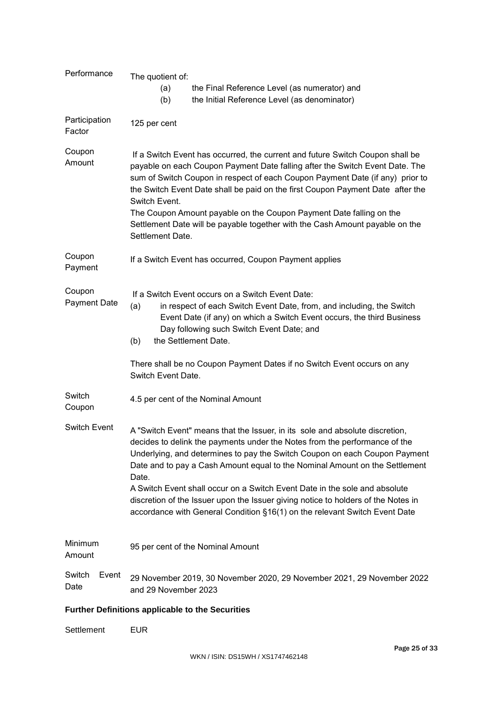| Performance                   | The quotient of:                                                                                                                                                                                                                                                                                                                                                                                                                                                                                                                                                                  |  |  |  |  |
|-------------------------------|-----------------------------------------------------------------------------------------------------------------------------------------------------------------------------------------------------------------------------------------------------------------------------------------------------------------------------------------------------------------------------------------------------------------------------------------------------------------------------------------------------------------------------------------------------------------------------------|--|--|--|--|
|                               | the Final Reference Level (as numerator) and<br>(a)<br>the Initial Reference Level (as denominator)<br>(b)                                                                                                                                                                                                                                                                                                                                                                                                                                                                        |  |  |  |  |
| Participation<br>Factor       | 125 per cent                                                                                                                                                                                                                                                                                                                                                                                                                                                                                                                                                                      |  |  |  |  |
| Coupon<br>Amount              | If a Switch Event has occurred, the current and future Switch Coupon shall be<br>payable on each Coupon Payment Date falling after the Switch Event Date. The<br>sum of Switch Coupon in respect of each Coupon Payment Date (if any) prior to<br>the Switch Event Date shall be paid on the first Coupon Payment Date after the<br>Switch Event.<br>The Coupon Amount payable on the Coupon Payment Date falling on the<br>Settlement Date will be payable together with the Cash Amount payable on the<br>Settlement Date.                                                      |  |  |  |  |
| Coupon<br>Payment             | If a Switch Event has occurred, Coupon Payment applies                                                                                                                                                                                                                                                                                                                                                                                                                                                                                                                            |  |  |  |  |
| Coupon<br><b>Payment Date</b> | If a Switch Event occurs on a Switch Event Date:<br>in respect of each Switch Event Date, from, and including, the Switch<br>(a)<br>Event Date (if any) on which a Switch Event occurs, the third Business<br>Day following such Switch Event Date; and<br>the Settlement Date.<br>(b)                                                                                                                                                                                                                                                                                            |  |  |  |  |
|                               | There shall be no Coupon Payment Dates if no Switch Event occurs on any<br>Switch Event Date.                                                                                                                                                                                                                                                                                                                                                                                                                                                                                     |  |  |  |  |
| Switch<br>Coupon              | 4.5 per cent of the Nominal Amount                                                                                                                                                                                                                                                                                                                                                                                                                                                                                                                                                |  |  |  |  |
| <b>Switch Event</b>           | A "Switch Event" means that the Issuer, in its sole and absolute discretion,<br>decides to delink the payments under the Notes from the performance of the<br>Underlying, and determines to pay the Switch Coupon on each Coupon Payment<br>Date and to pay a Cash Amount equal to the Nominal Amount on the Settlement<br>Date.<br>A Switch Event shall occur on a Switch Event Date in the sole and absolute<br>discretion of the Issuer upon the Issuer giving notice to holders of the Notes in<br>accordance with General Condition §16(1) on the relevant Switch Event Date |  |  |  |  |
| Minimum<br>Amount             | 95 per cent of the Nominal Amount                                                                                                                                                                                                                                                                                                                                                                                                                                                                                                                                                 |  |  |  |  |
| Switch<br>Event<br>Date       | 29 November 2019, 30 November 2020, 29 November 2021, 29 November 2022<br>and 29 November 2023                                                                                                                                                                                                                                                                                                                                                                                                                                                                                    |  |  |  |  |
|                               | <b>Further Definitions applicable to the Securities</b>                                                                                                                                                                                                                                                                                                                                                                                                                                                                                                                           |  |  |  |  |
| Settlement                    | <b>EUR</b>                                                                                                                                                                                                                                                                                                                                                                                                                                                                                                                                                                        |  |  |  |  |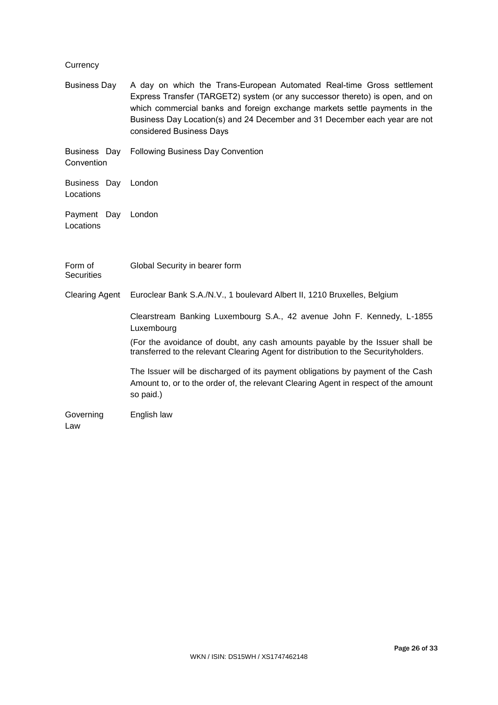# **Currency**

| <b>Business Day</b>              | A day on which the Trans-European Automated Real-time Gross settlement<br>Express Transfer (TARGET2) system (or any successor thereto) is open, and on<br>which commercial banks and foreign exchange markets settle payments in the<br>Business Day Location(s) and 24 December and 31 December each year are not<br>considered Business Days |
|----------------------------------|------------------------------------------------------------------------------------------------------------------------------------------------------------------------------------------------------------------------------------------------------------------------------------------------------------------------------------------------|
| Business Day<br>Convention       | <b>Following Business Day Convention</b>                                                                                                                                                                                                                                                                                                       |
| Business Day London<br>Locations |                                                                                                                                                                                                                                                                                                                                                |
| Payment Day<br>Locations         | London                                                                                                                                                                                                                                                                                                                                         |
| Form of<br><b>Securities</b>     | Global Security in bearer form                                                                                                                                                                                                                                                                                                                 |
| <b>Clearing Agent</b>            | Euroclear Bank S.A./N.V., 1 boulevard Albert II, 1210 Bruxelles, Belgium                                                                                                                                                                                                                                                                       |
|                                  | Clearstream Banking Luxembourg S.A., 42 avenue John F. Kennedy, L-1855<br>Luxembourg<br>(For the avoidance of doubt, any cash amounts payable by the Issuer shall be                                                                                                                                                                           |
|                                  | transferred to the relevant Clearing Agent for distribution to the Securityholders.                                                                                                                                                                                                                                                            |
|                                  | The Issuer will be discharged of its payment obligations by payment of the Cash<br>Amount to, or to the order of, the relevant Clearing Agent in respect of the amount<br>so paid.)                                                                                                                                                            |
| Governing<br>Law                 | English law                                                                                                                                                                                                                                                                                                                                    |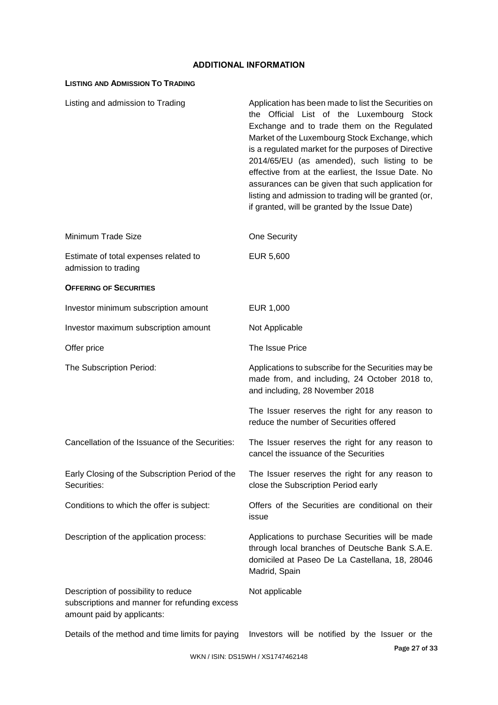# **ADDITIONAL INFORMATION**

# **LISTING AND ADMISSION TO TRADING**

| Listing and admission to Trading                                                                                    | Application has been made to list the Securities on<br>the Official List of the Luxembourg Stock<br>Exchange and to trade them on the Regulated<br>Market of the Luxembourg Stock Exchange, which<br>is a regulated market for the purposes of Directive<br>2014/65/EU (as amended), such listing to be<br>effective from at the earliest, the Issue Date. No<br>assurances can be given that such application for<br>listing and admission to trading will be granted (or,<br>if granted, will be granted by the Issue Date) |
|---------------------------------------------------------------------------------------------------------------------|-------------------------------------------------------------------------------------------------------------------------------------------------------------------------------------------------------------------------------------------------------------------------------------------------------------------------------------------------------------------------------------------------------------------------------------------------------------------------------------------------------------------------------|
| Minimum Trade Size                                                                                                  | One Security                                                                                                                                                                                                                                                                                                                                                                                                                                                                                                                  |
| Estimate of total expenses related to<br>admission to trading                                                       | EUR 5,600                                                                                                                                                                                                                                                                                                                                                                                                                                                                                                                     |
| <b>OFFERING OF SECURITIES</b>                                                                                       |                                                                                                                                                                                                                                                                                                                                                                                                                                                                                                                               |
| Investor minimum subscription amount                                                                                | EUR 1,000                                                                                                                                                                                                                                                                                                                                                                                                                                                                                                                     |
| Investor maximum subscription amount                                                                                | Not Applicable                                                                                                                                                                                                                                                                                                                                                                                                                                                                                                                |
| Offer price                                                                                                         | The Issue Price                                                                                                                                                                                                                                                                                                                                                                                                                                                                                                               |
| The Subscription Period:                                                                                            | Applications to subscribe for the Securities may be<br>made from, and including, 24 October 2018 to,<br>and including, 28 November 2018                                                                                                                                                                                                                                                                                                                                                                                       |
|                                                                                                                     | The Issuer reserves the right for any reason to<br>reduce the number of Securities offered                                                                                                                                                                                                                                                                                                                                                                                                                                    |
| Cancellation of the Issuance of the Securities:                                                                     | The Issuer reserves the right for any reason to<br>cancel the issuance of the Securities                                                                                                                                                                                                                                                                                                                                                                                                                                      |
| Early Closing of the Subscription Period of the<br>Securities:                                                      | The Issuer reserves the right for any reason to<br>close the Subscription Period early                                                                                                                                                                                                                                                                                                                                                                                                                                        |
| Conditions to which the offer is subject:                                                                           | Offers of the Securities are conditional on their<br>issue                                                                                                                                                                                                                                                                                                                                                                                                                                                                    |
| Description of the application process:                                                                             | Applications to purchase Securities will be made<br>through local branches of Deutsche Bank S.A.E.<br>domiciled at Paseo De La Castellana, 18, 28046<br>Madrid, Spain                                                                                                                                                                                                                                                                                                                                                         |
| Description of possibility to reduce<br>subscriptions and manner for refunding excess<br>amount paid by applicants: | Not applicable                                                                                                                                                                                                                                                                                                                                                                                                                                                                                                                |
|                                                                                                                     |                                                                                                                                                                                                                                                                                                                                                                                                                                                                                                                               |

Details of the method and time limits for paying Investors will be notified by the Issuer or the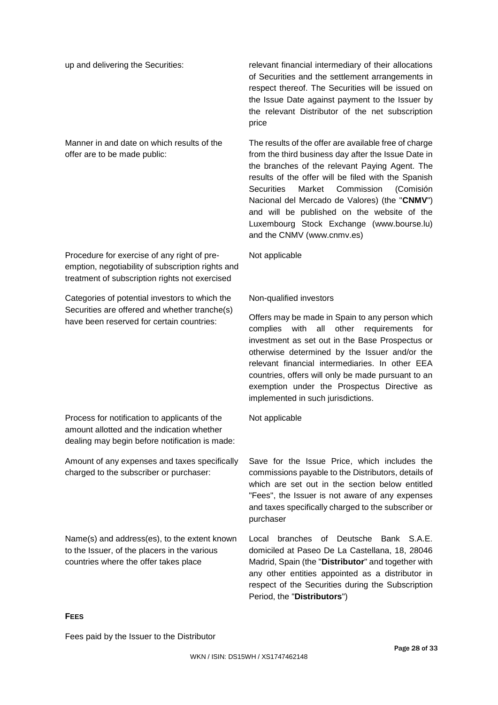Manner in and date on which results of the offer are to be made public:

Procedure for exercise of any right of preemption, negotiability of subscription rights and treatment of subscription rights not exercised

Categories of potential investors to which the Securities are offered and whether tranche(s) have been reserved for certain countries:

Process for notification to applicants of the amount allotted and the indication whether dealing may begin before notification is made:

Amount of any expenses and taxes specifically charged to the subscriber or purchaser:

Name(s) and address(es), to the extent known to the Issuer, of the placers in the various countries where the offer takes place

up and delivering the Securities: relevant financial intermediary of their allocations of Securities and the settlement arrangements in respect thereof. The Securities will be issued on the Issue Date against payment to the Issuer by the relevant Distributor of the net subscription price

> The results of the offer are available free of charge from the third business day after the Issue Date in the branches of the relevant Paying Agent. The results of the offer will be filed with the Spanish Securities Market Commission (Comisión Nacional del Mercado de Valores) (the "**CNMV**") and will be published on the website of the Luxembourg Stock Exchange (www.bourse.lu) and the CNMV (www.cnmv.es)

Not applicable

# Non-qualified investors

Offers may be made in Spain to any person which complies with all other requirements for investment as set out in the Base Prospectus or otherwise determined by the Issuer and/or the relevant financial intermediaries. In other EEA countries, offers will only be made pursuant to an exemption under the Prospectus Directive as implemented in such jurisdictions.

Not applicable

Save for the Issue Price, which includes the commissions payable to the Distributors, details of which are set out in the section below entitled "Fees", the Issuer is not aware of any expenses and taxes specifically charged to the subscriber or purchaser

Local branches of Deutsche Bank S.A.E. domiciled at Paseo De La Castellana, 18, 28046 Madrid, Spain (the "**Distributor**" and together with any other entities appointed as a distributor in respect of the Securities during the Subscription Period, the "**Distributors**")

## **FEES**

Fees paid by the Issuer to the Distributor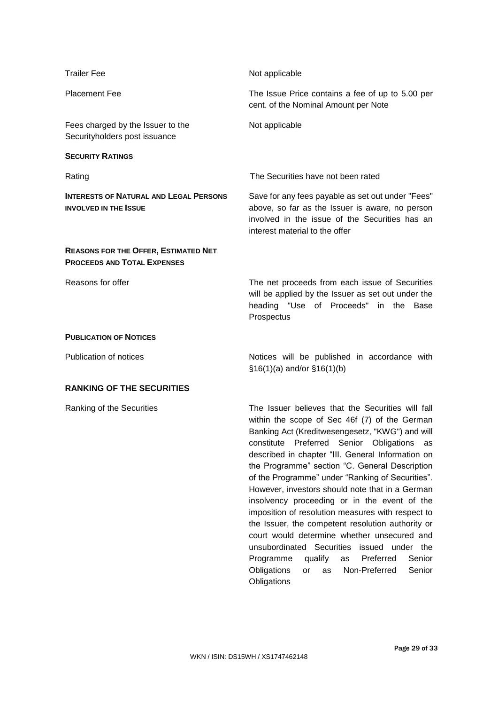| <b>Trailer Fee</b>                                                                | Not applicable                                                                                                                                                                                                                                                                                                                                                                                                                                                                                                                                                                                                                                                                                                                                                                                                 |
|-----------------------------------------------------------------------------------|----------------------------------------------------------------------------------------------------------------------------------------------------------------------------------------------------------------------------------------------------------------------------------------------------------------------------------------------------------------------------------------------------------------------------------------------------------------------------------------------------------------------------------------------------------------------------------------------------------------------------------------------------------------------------------------------------------------------------------------------------------------------------------------------------------------|
| <b>Placement Fee</b>                                                              | The Issue Price contains a fee of up to 5.00 per<br>cent. of the Nominal Amount per Note                                                                                                                                                                                                                                                                                                                                                                                                                                                                                                                                                                                                                                                                                                                       |
| Fees charged by the Issuer to the<br>Securityholders post issuance                | Not applicable                                                                                                                                                                                                                                                                                                                                                                                                                                                                                                                                                                                                                                                                                                                                                                                                 |
| <b>SECURITY RATINGS</b>                                                           |                                                                                                                                                                                                                                                                                                                                                                                                                                                                                                                                                                                                                                                                                                                                                                                                                |
| Rating                                                                            | The Securities have not been rated                                                                                                                                                                                                                                                                                                                                                                                                                                                                                                                                                                                                                                                                                                                                                                             |
| <b>INTERESTS OF NATURAL AND LEGAL PERSONS</b><br><b>INVOLVED IN THE ISSUE</b>     | Save for any fees payable as set out under "Fees"<br>above, so far as the Issuer is aware, no person<br>involved in the issue of the Securities has an<br>interest material to the offer                                                                                                                                                                                                                                                                                                                                                                                                                                                                                                                                                                                                                       |
| <b>REASONS FOR THE OFFER, ESTIMATED NET</b><br><b>PROCEEDS AND TOTAL EXPENSES</b> |                                                                                                                                                                                                                                                                                                                                                                                                                                                                                                                                                                                                                                                                                                                                                                                                                |
| Reasons for offer                                                                 | The net proceeds from each issue of Securities<br>will be applied by the Issuer as set out under the<br>heading "Use of Proceeds" in the Base<br>Prospectus                                                                                                                                                                                                                                                                                                                                                                                                                                                                                                                                                                                                                                                    |
| <b>PUBLICATION OF NOTICES</b>                                                     |                                                                                                                                                                                                                                                                                                                                                                                                                                                                                                                                                                                                                                                                                                                                                                                                                |
| <b>Publication of notices</b>                                                     | Notices will be published in accordance with<br>$$16(1)(a)$ and/or $$16(1)(b)$                                                                                                                                                                                                                                                                                                                                                                                                                                                                                                                                                                                                                                                                                                                                 |
| <b>RANKING OF THE SECURITIES</b>                                                  |                                                                                                                                                                                                                                                                                                                                                                                                                                                                                                                                                                                                                                                                                                                                                                                                                |
| Ranking of the Securities                                                         | The Issuer believes that the Securities will fall<br>within the scope of Sec 46f (7) of the German<br>Banking Act (Kreditwesengesetz, "KWG") and will<br>constitute<br>Preferred<br>Senior<br>Obligations<br>as<br>described in chapter "III. General Information on<br>the Programme" section "C. General Description<br>of the Programme" under "Ranking of Securities".<br>However, investors should note that in a German<br>insolvency proceeding or in the event of the<br>imposition of resolution measures with respect to<br>the Issuer, the competent resolution authority or<br>court would determine whether unsecured and<br>unsubordinated Securities issued under the<br>Preferred<br>Senior<br>Programme<br>qualify<br>as<br>Non-Preferred<br>Senior<br>Obligations<br>or<br>as<br>Obligations |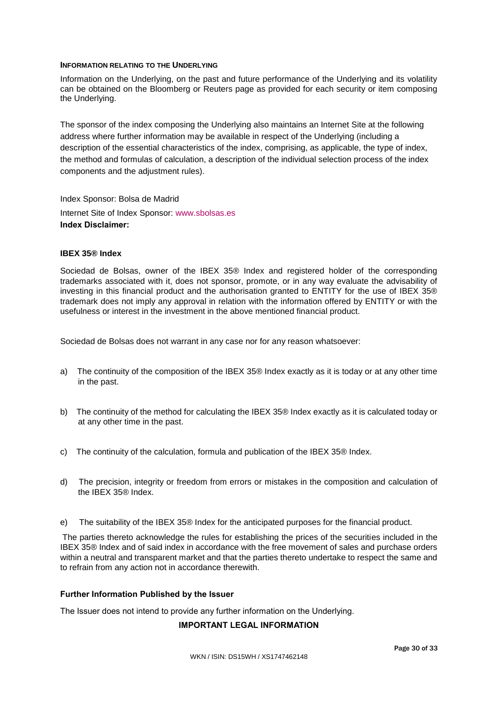## **INFORMATION RELATING TO THE UNDERLYING**

Information on the Underlying, on the past and future performance of the Underlying and its volatility can be obtained on the Bloomberg or Reuters page as provided for each security or item composing the Underlying.

The sponsor of the index composing the Underlying also maintains an Internet Site at the following address where further information may be available in respect of the Underlying (including a description of the essential characteristics of the index, comprising, as applicable, the type of index, the method and formulas of calculation, a description of the individual selection process of the index components and the adjustment rules).

Index Sponsor: Bolsa de Madrid Internet Site of Index Sponsor: [www.sbolsas.es](http://www.sbolsas.es/) **Index Disclaimer:**

## **IBEX 35® Index**

Sociedad de Bolsas, owner of the IBEX 35® Index and registered holder of the corresponding trademarks associated with it, does not sponsor, promote, or in any way evaluate the advisability of investing in this financial product and the authorisation granted to ENTITY for the use of IBEX 35® trademark does not imply any approval in relation with the information offered by ENTITY or with the usefulness or interest in the investment in the above mentioned financial product.

Sociedad de Bolsas does not warrant in any case nor for any reason whatsoever:

- a) The continuity of the composition of the IBEX 35® Index exactly as it is today or at any other time in the past.
- b) The continuity of the method for calculating the IBEX 35® Index exactly as it is calculated today or at any other time in the past.
- c) The continuity of the calculation, formula and publication of the IBEX 35® Index.
- d) The precision, integrity or freedom from errors or mistakes in the composition and calculation of the IBEX 35® Index.
- e) The suitability of the IBEX 35® Index for the anticipated purposes for the financial product.

The parties thereto acknowledge the rules for establishing the prices of the securities included in the IBEX 35® Index and of said index in accordance with the free movement of sales and purchase orders within a neutral and transparent market and that the parties thereto undertake to respect the same and to refrain from any action not in accordance therewith.

#### **Further Information Published by the Issuer**

The Issuer does not intend to provide any further information on the Underlying.

## **IMPORTANT LEGAL INFORMATION**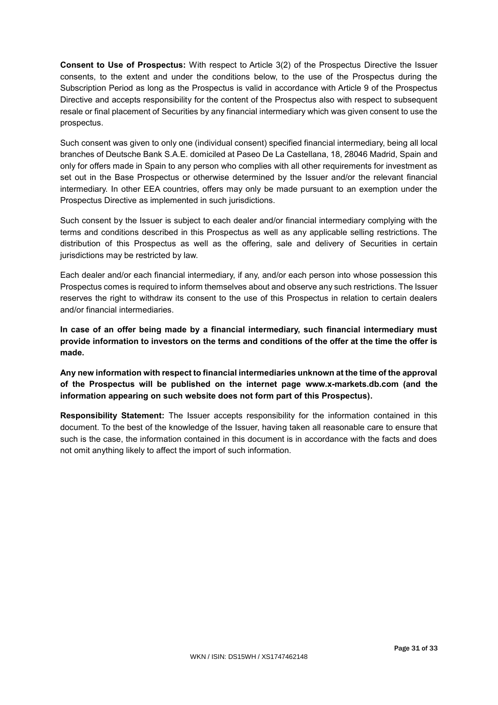**Consent to Use of Prospectus:** With respect to Article 3(2) of the Prospectus Directive the Issuer consents, to the extent and under the conditions below, to the use of the Prospectus during the Subscription Period as long as the Prospectus is valid in accordance with Article 9 of the Prospectus Directive and accepts responsibility for the content of the Prospectus also with respect to subsequent resale or final placement of Securities by any financial intermediary which was given consent to use the prospectus.

Such consent was given to only one (individual consent) specified financial intermediary, being all local branches of Deutsche Bank S.A.E. domiciled at Paseo De La Castellana, 18, 28046 Madrid, Spain and only for offers made in Spain to any person who complies with all other requirements for investment as set out in the Base Prospectus or otherwise determined by the Issuer and/or the relevant financial intermediary. In other EEA countries, offers may only be made pursuant to an exemption under the Prospectus Directive as implemented in such jurisdictions.

Such consent by the Issuer is subject to each dealer and/or financial intermediary complying with the terms and conditions described in this Prospectus as well as any applicable selling restrictions. The distribution of this Prospectus as well as the offering, sale and delivery of Securities in certain jurisdictions may be restricted by law.

Each dealer and/or each financial intermediary, if any, and/or each person into whose possession this Prospectus comes is required to inform themselves about and observe any such restrictions. The Issuer reserves the right to withdraw its consent to the use of this Prospectus in relation to certain dealers and/or financial intermediaries.

**In case of an offer being made by a financial intermediary, such financial intermediary must provide information to investors on the terms and conditions of the offer at the time the offer is made.**

**Any new information with respect to financial intermediaries unknown at the time of the approval of the Prospectus will be published on the internet page www.x-markets.db.com (and the information appearing on such website does not form part of this Prospectus).**

**Responsibility Statement:** The Issuer accepts responsibility for the information contained in this document. To the best of the knowledge of the Issuer, having taken all reasonable care to ensure that such is the case, the information contained in this document is in accordance with the facts and does not omit anything likely to affect the import of such information.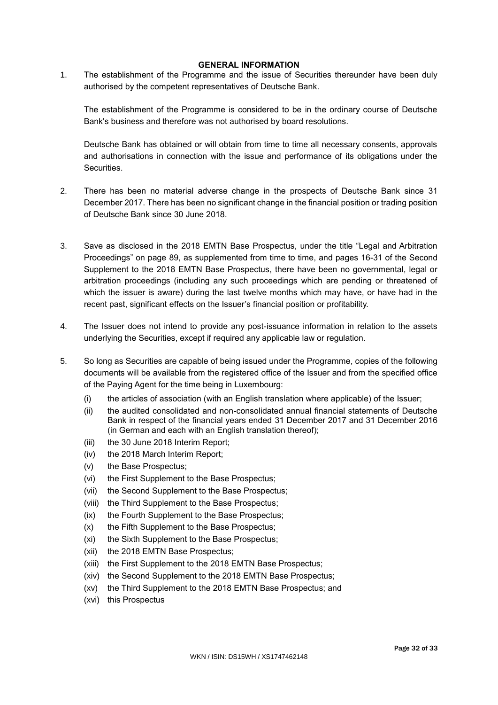## **GENERAL INFORMATION**

1. The establishment of the Programme and the issue of Securities thereunder have been duly authorised by the competent representatives of Deutsche Bank.

The establishment of the Programme is considered to be in the ordinary course of Deutsche Bank's business and therefore was not authorised by board resolutions.

Deutsche Bank has obtained or will obtain from time to time all necessary consents, approvals and authorisations in connection with the issue and performance of its obligations under the **Securities** 

- 2. There has been no material adverse change in the prospects of Deutsche Bank since 31 December 2017. There has been no significant change in the financial position or trading position of Deutsche Bank since 30 June 2018.
- 3. Save as disclosed in the 2018 EMTN Base Prospectus, under the title "Legal and Arbitration Proceedings" on page 89, as supplemented from time to time, and pages 16-31 of the Second Supplement to the 2018 EMTN Base Prospectus, there have been no governmental, legal or arbitration proceedings (including any such proceedings which are pending or threatened of which the issuer is aware) during the last twelve months which may have, or have had in the recent past, significant effects on the Issuer's financial position or profitability.
- 4. The Issuer does not intend to provide any post-issuance information in relation to the assets underlying the Securities, except if required any applicable law or regulation.
- 5. So long as Securities are capable of being issued under the Programme, copies of the following documents will be available from the registered office of the Issuer and from the specified office of the Paying Agent for the time being in Luxembourg:
	- (i) the articles of association (with an English translation where applicable) of the Issuer;
	- (ii) the audited consolidated and non-consolidated annual financial statements of Deutsche Bank in respect of the financial years ended 31 December 2017 and 31 December 2016 (in German and each with an English translation thereof);
	- (iii) the 30 June 2018 Interim Report;
	- (iv) the 2018 March Interim Report;
	- (v) the Base Prospectus;
	- (vi) the First Supplement to the Base Prospectus;
	- (vii) the Second Supplement to the Base Prospectus;
	- (viii) the Third Supplement to the Base Prospectus;
	- (ix) the Fourth Supplement to the Base Prospectus;
	- (x) the Fifth Supplement to the Base Prospectus;
	- (xi) the Sixth Supplement to the Base Prospectus;
	- (xii) the 2018 EMTN Base Prospectus;
	- (xiii) the First Supplement to the 2018 EMTN Base Prospectus;
	- (xiv) the Second Supplement to the 2018 EMTN Base Prospectus;
	- (xv) the Third Supplement to the 2018 EMTN Base Prospectus; and
	- (xvi) this Prospectus